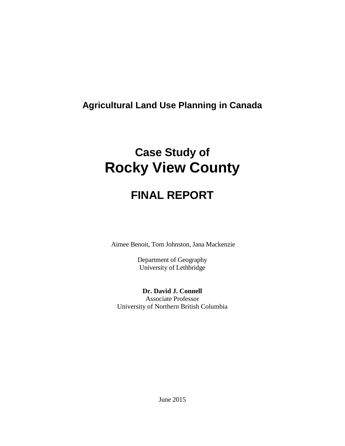## **Agricultural Land Use Planning in Canada**

# **Case Study of Rocky View County**

# **FINAL REPORT**

Aimee Benoit, Tom Johnston, Jana Mackenzie

Department of Geography University of Lethbridge

**Dr. David J. Connell** Associate Professor University of Northern British Columbia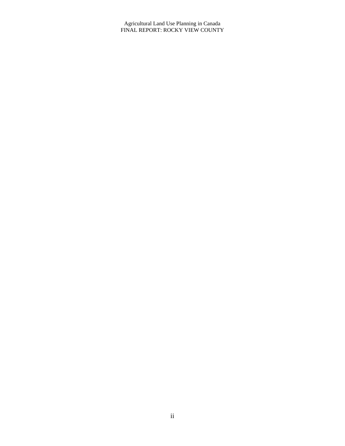Agricultural Land Use Planning in Canada FINAL REPORT: ROCKY VIEW COUNTY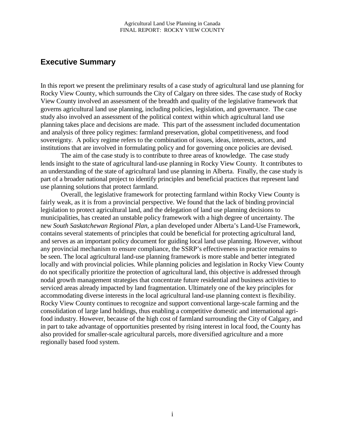## **Executive Summary**

In this report we present the preliminary results of a case study of agricultural land use planning for Rocky View County, which surrounds the City of Calgary on three sides. The case study of Rocky View County involved an assessment of the breadth and quality of the legislative framework that governs agricultural land use planning, including policies, legislation, and governance. The case study also involved an assessment of the political context within which agricultural land use planning takes place and decisions are made. This part of the assessment included documentation and analysis of three policy regimes: farmland preservation, global competitiveness, and food sovereignty. A policy regime refers to the combination of issues, ideas, interests, actors, and institutions that are involved in formulating policy and for governing once policies are devised.

The aim of the case study is to contribute to three areas of knowledge. The case study lends insight to the state of agricultural land-use planning in Rocky View County. It contributes to an understanding of the state of agricultural land use planning in Alberta. Finally, the case study is part of a broader national project to identify principles and beneficial practices that represent land use planning solutions that protect farmland.

Overall, the legislative framework for protecting farmland within Rocky View County is fairly weak, as it is from a provincial perspective. We found that the lack of binding provincial legislation to protect agricultural land, and the delegation of land use planning decisions to municipalities, has created an unstable policy framework with a high degree of uncertainty. The new *South Saskatchewan Regional Plan*, a plan developed under Alberta's Land-Use Framework, contains several statements of principles that could be beneficial for protecting agricultural land, and serves as an important policy document for guiding local land use planning. However, without any provincial mechanism to ensure compliance, the SSRP's effectiveness in practice remains to be seen. The local agricultural land-use planning framework is more stable and better integrated locally and with provincial policies. While planning policies and legislation in Rocky View County do not specifically prioritize the protection of agricultural land, this objective is addressed through nodal growth management strategies that concentrate future residential and business activities to serviced areas already impacted by land fragmentation. Ultimately one of the key principles for accommodating diverse interests in the local agricultural land-use planning context is flexibility. Rocky View County continues to recognize and support conventional large-scale farming and the consolidation of large land holdings, thus enabling a competitive domestic and international agrifood industry. However, because of the high cost of farmland surrounding the City of Calgary, and in part to take advantage of opportunities presented by rising interest in local food, the County has also provided for smaller-scale agricultural parcels, more diversified agriculture and a more regionally based food system.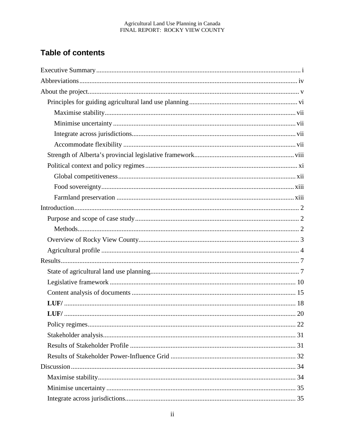# Agricultural Land Use Planning in Canada<br>FINAL REPORT: ROCKY VIEW COUNTY

## **Table of contents**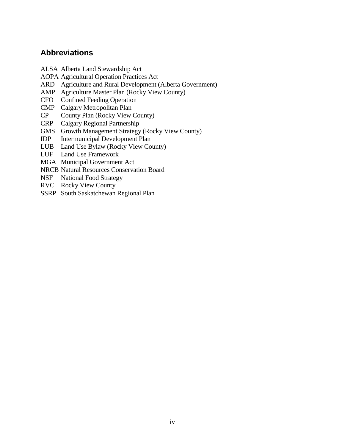## **Abbreviations**

- ALSA Alberta Land Stewardship Act
- AOPA Agricultural Operation Practices Act
- ARD Agriculture and Rural Development (Alberta Government)
- AMP Agriculture Master Plan (Rocky View County)
- CFO Confined Feeding Operation
- CMP Calgary Metropolitan Plan<br>CP County Plan (Rocky View 0
- County Plan (Rocky View County)
- CRP Calgary Regional Partnership
- GMS Growth Management Strategy (Rocky View County)
- IDP Intermunicipal Development Plan
- LUB Land Use Bylaw (Rocky View County)
- LUF Land Use Framework
- MGA Municipal Government Act
- NRCB Natural Resources Conservation Board
- NSF National Food Strategy
- RVC Rocky View County
- SSRP South Saskatchewan Regional Plan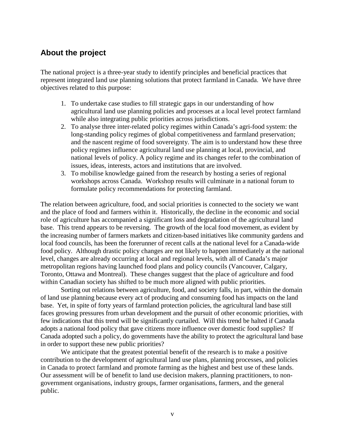## **About the project**

The national project is a three-year study to identify principles and beneficial practices that represent integrated land use planning solutions that protect farmland in Canada. We have three objectives related to this purpose:

- 1. To undertake case studies to fill strategic gaps in our understanding of how agricultural land use planning policies and processes at a local level protect farmland while also integrating public priorities across jurisdictions.
- 2. To analyse three inter-related policy regimes within Canada's agri-food system: the long-standing policy regimes of global competitiveness and farmland preservation; and the nascent regime of food sovereignty. The aim is to understand how these three policy regimes influence agricultural land use planning at local, provincial, and national levels of policy. A policy regime and its changes refer to the combination of issues, ideas, interests, actors and institutions that are involved.
- 3. To mobilise knowledge gained from the research by hosting a series of regional workshops across Canada. Workshop results will culminate in a national forum to formulate policy recommendations for protecting farmland.

The relation between agriculture, food, and social priorities is connected to the society we want and the place of food and farmers within it. Historically, the decline in the economic and social role of agriculture has accompanied a significant loss and degradation of the agricultural land base. This trend appears to be reversing. The growth of the local food movement, as evident by the increasing number of farmers markets and citizen-based initiatives like community gardens and local food councils, has been the forerunner of recent calls at the national level for a Canada-wide food policy. Although drastic policy changes are not likely to happen immediately at the national level, changes are already occurring at local and regional levels, with all of Canada's major metropolitan regions having launched food plans and policy councils (Vancouver, Calgary, Toronto, Ottawa and Montreal). These changes suggest that the place of agriculture and food within Canadian society has shifted to be much more aligned with public priorities.

Sorting out relations between agriculture, food, and society falls, in part, within the domain of land use planning because every act of producing and consuming food has impacts on the land base. Yet, in spite of forty years of farmland protection policies, the agricultural land base still faces growing pressures from urban development and the pursuit of other economic priorities, with few indications that this trend will be significantly curtailed. Will this trend be halted if Canada adopts a national food policy that gave citizens more influence over domestic food supplies? If Canada adopted such a policy, do governments have the ability to protect the agricultural land base in order to support these new public priorities?

We anticipate that the greatest potential benefit of the research is to make a positive contribution to the development of agricultural land use plans, planning processes, and policies in Canada to protect farmland and promote farming as the highest and best use of these lands. Our assessment will be of benefit to land use decision makers, planning practitioners, to nongovernment organisations, industry groups, farmer organisations, farmers, and the general public.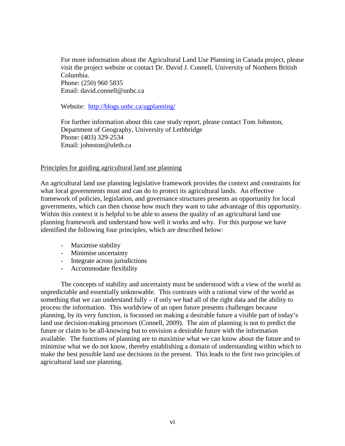For more information about the Agricultural Land Use Planning in Canada project, please visit the project website or contact Dr. David J. Connell, University of Northern British Columbia. Phone: (250) 960 5835 Email: david.connell@unbc.ca

Website: <http://blogs.unbc.ca/agplanning/>

For further information about this case study report, please contact Tom Johnston, Department of Geography, University of Lethbridge Phone: (403) 329-2534 Email: johnston@uleth.ca

## Principles for guiding agricultural land use planning

An agricultural land use planning legislative framework provides the context and constraints for what local governments must and can do to protect its agricultural lands. An effective framework of policies, legislation, and governance structures presents an opportunity for local governments, which can then choose how much they want to take advantage of this opportunity. Within this context it is helpful to be able to assess the quality of an agricultural land use planning framework and understand how well it works and why. For this purpose we have identified the following four principles, which are described below:

- Maximise stability
- Minimise uncertainty
- Integrate across jurisdictions
- Accommodate flexibility

The concepts of stability and uncertainty must be understood with a view of the world as unpredictable and essentially unknowable. This contrasts with a rational view of the world as something that we can understand fully – if only we had all of the right data and the ability to process the information. This worldview of an open future presents challenges because planning, by its very function, is focussed on making a desirable future a visible part of today's land use decision-making processes (Connell, 2009). The aim of planning is not to predict the future or claim to be all-knowing but to envision a desirable future with the information available. The functions of planning are to maximise what we can know about the future and to minimise what we do not know, thereby establishing a domain of understanding within which to make the best possible land use decisions in the present. This leads to the first two principles of agricultural land use planning.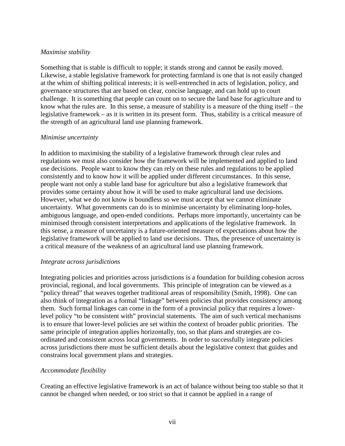## *Maximise stability*

Something that is stable is difficult to topple; it stands strong and cannot be easily moved. Likewise, a stable legislative framework for protecting farmland is one that is not easily changed at the whim of shifting political interests; it is well-entrenched in acts of legislation, policy, and governance structures that are based on clear, concise language, and can hold up to court challenge. It is something that people can count on to secure the land base for agriculture and to know what the rules are. In this sense, a measure of stability is a measure of the thing itself – the legislative framework – as it is written in its present form. Thus, stability is a critical measure of the strength of an agricultural land use planning framework.

## *Minimise uncertainty*

In addition to maximising the stability of a legislative framework through clear rules and regulations we must also consider how the framework will be implemented and applied to land use decisions. People want to know they can rely on these rules and regulations to be applied consistently and to know how it will be applied under different circumstances. In this sense, people want not only a stable land base for agriculture but also a legislative framework that provides some certainty about how it will be used to make agricultural land use decisions. However, what we do not know is boundless so we must accept that we cannot eliminate uncertainty. What governments can do is to minimise uncertainty by eliminating loop-holes, ambiguous language, and open-ended conditions. Perhaps more importantly, uncertainty can be minimised through consistent interpretations and applications of the legislative framework. In this sense, a measure of uncertainty is a future-oriented measure of expectations about how the legislative framework will be applied to land use decisions. Thus, the presence of uncertainty is a critical measure of the weakness of an agricultural land use planning framework.

## *Integrate across jurisdictions*

Integrating policies and priorities across jurisdictions is a foundation for building cohesion across provincial, regional, and local governments. This principle of integration can be viewed as a "policy thread" that weaves together traditional areas of responsibility (Smith, 1998). One can also think of integration as a formal "linkage" between policies that provides consistency among them. Such formal linkages can come in the form of a provincial policy that requires a lowerlevel policy "to be consistent with" provincial statements. The aim of such vertical mechanisms is to ensure that lower-level policies are set within the context of broader public priorities. The same principle of integration applies horizontally, too, so that plans and strategies are coordinated and consistent across local governments. In order to successfully integrate policies across jurisdictions there must be sufficient details about the legislative context that guides and constrains local government plans and strategies.

## *Accommodate flexibility*

Creating an effective legislative framework is an act of balance without being too stable so that it cannot be changed when needed, or too strict so that it cannot be applied in a range of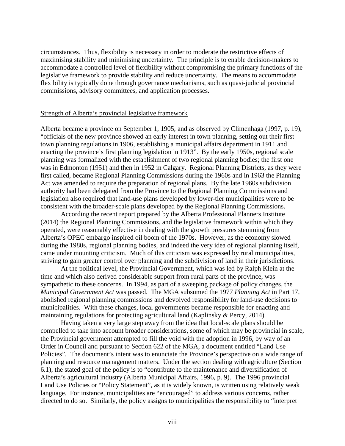circumstances. Thus, flexibility is necessary in order to moderate the restrictive effects of maximising stability and minimising uncertainty. The principle is to enable decision-makers to accommodate a controlled level of flexibility without compromising the primary functions of the legislative framework to provide stability and reduce uncertainty. The means to accommodate flexibility is typically done through governance mechanisms, such as quasi-judicial provincial commissions, advisory committees, and application processes.

#### Strength of Alberta's provincial legislative framework

Alberta became a province on September 1, 1905, and as observed by Climenhaga (1997, p. 19), "officials of the new province showed an early interest in town planning, setting out their first town planning regulations in 1906, establishing a municipal affairs department in 1911 and enacting the province's first planning legislation in 1913". By the early 1950s, regional scale planning was formalized with the establishment of two regional planning bodies; the first one was in Edmonton (1951) and then in 1952 in Calgary. Regional Planning Districts, as they were first called, became Regional Planning Commissions during the 1960s and in 1963 the Planning Act was amended to require the preparation of regional plans. By the late 1960s subdivision authority had been delegated from the Province to the Regional Planning Commissions and legislation also required that land-use plans developed by lower-tier municipalities were to be consistent with the broader-scale plans developed by the Regional Planning Commissions.

According the recent report prepared by the Alberta Professional Planners Institute (2014) the Regional Planning Commissions, and the legislative framework within which they operated, were reasonably effective in dealing with the growth pressures stemming from Alberta's OPEC embargo inspired oil boom of the 1970s. However, as the economy slowed during the 1980s, regional planning bodies, and indeed the very idea of regional planning itself, came under mounting criticism. Much of this criticism was expressed by rural municipalities, striving to gain greater control over planning and the subdivision of land in their jurisdictions.

At the political level, the Provincial Government, which was led by Ralph Klein at the time and which also derived considerable support from rural parts of the province, was sympathetic to these concerns. In 1994, as part of a sweeping package of policy changes, the *Municipal Government Act* was passed. The MGA subsumed the 1977 *Planning Act* in Part 17, abolished regional planning commissions and devolved responsibility for land-use decisions to municipalities. With these changes, local governments became responsible for enacting and maintaining regulations for protecting agricultural land (Kaplinsky & Percy, 2014).

Having taken a very large step away from the idea that local-scale plans should be compelled to take into account broader considerations, some of which may be provincial in scale, the Provincial government attempted to fill the void with the adoption in 1996, by way of an Order in Council and pursuant to Section 622 of the MGA, a document entitled "Land Use Policies". The document's intent was to enunciate the Province's perspective on a wide range of planning and resource management matters. Under the section dealing with agriculture (Section 6.1), the stated goal of the policy is to "contribute to the maintenance and diversification of Alberta's agricultural industry (Alberta Municipal Affairs, 1996, p. 9). The 1996 provincial Land Use Policies or "Policy Statement", as it is widely known, is written using relatively weak language. For instance, municipalities are "encouraged" to address various concerns, rather directed to do so. Similarly, the policy assigns to municipalities the responsibility to "interpret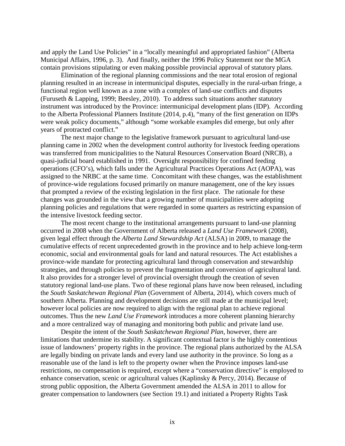and apply the Land Use Policies" in a "locally meaningful and appropriated fashion" (Alberta Municipal Affairs, 1996, p. 3). And finally, neither the 1996 Policy Statement nor the MGA contain provisions stipulating or even making possible provincial approval of statutory plans.

Elimination of the regional planning commissions and the near total erosion of regional planning resulted in an increase in intermunicipal disputes, especially in the rural-urban fringe, a functional region well known as a zone with a complex of land-use conflicts and disputes (Furuseth & Lapping, 1999; Beesley, 2010). To address such situations another statutory instrument was introduced by the Province: intermunicipal development plans (IDP). According to the Alberta Professional Planners Institute (2014, p.4), "many of the first generation on IDPs were weak policy documents," although "some workable examples did emerge, but only after years of protracted conflict."

The next major change to the legislative framework pursuant to agricultural land-use planning came in 2002 when the development control authority for livestock feeding operations was transferred from municipalities to the Natural Resources Conservation Board (NRCB), a quasi-judicial board established in 1991. Oversight responsibility for confined feeding operations (CFO's), which falls under the Agricultural Practices Operations Act (AOPA), was assigned to the NRBC at the same time. Concomitant with these changes, was the establishment of province-wide regulations focused primarily on manure management, one of the key issues that prompted a review of the existing legislation in the first place. The rationale for these changes was grounded in the view that a growing number of municipalities were adopting planning policies and regulations that were regarded in some quarters as restricting expansion of the intensive livestock feeding sector.

The most recent change to the institutional arrangements pursuant to land-use planning occurred in 2008 when the Government of Alberta released a *Land Use Framework* (2008), given legal effect through the *Alberta Land Stewardship Act* (ALSA) in 2009, to manage the cumulative effects of recent unprecedented growth in the province and to help achieve long-term economic, social and environmental goals for land and natural resources. The Act establishes a province-wide mandate for protecting agricultural land through conservation and stewardship strategies, and through policies to prevent the fragmentation and conversion of agricultural land. It also provides for a stronger level of provincial oversight through the creation of seven statutory regional land-use plans. Two of these regional plans have now been released, including the *South Saskatchewan Regional Plan* (Government of Alberta, 2014), which covers much of southern Alberta. Planning and development decisions are still made at the municipal level; however local policies are now required to align with the regional plan to achieve regional outcomes. Thus the new *Land Use Framework* introduces a more coherent planning hierarchy and a more centralized way of managing and monitoring both public and private land use.

Despite the intent of the *South Saskatchewan Regional Plan*, however, there are limitations that undermine its stability. A significant contextual factor is the highly contentious issue of landowners' property rights in the province. The regional plans authorized by the ALSA are legally binding on private lands and every land use authority in the province. So long as a reasonable use of the land is left to the property owner when the Province imposes land-use restrictions, no compensation is required, except where a "conservation directive" is employed to enhance conservation, scenic or agricultural values (Kaplinsky & Percy, 2014). Because of strong public opposition, the Alberta Government amended the ALSA in 2011 to allow for greater compensation to landowners (see Section 19.1) and initiated a Property Rights Task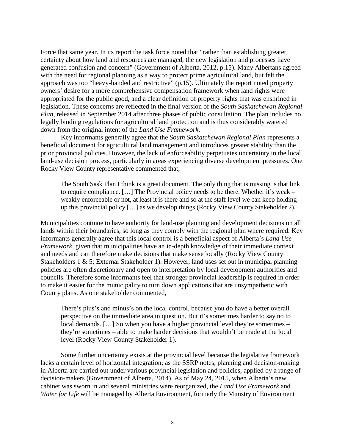Force that same year. In its report the task force noted that "rather than establishing greater certainty about how land and resources are managed, the new legislation and processes have generated confusion and concern" (Government of Alberta, 2012, p.15). Many Albertans agreed with the need for regional planning as a way to protect prime agricultural land, but felt the approach was too "heavy-handed and restrictive" (p.15). Ultimately the report noted property owners' desire for a more comprehensive compensation framework when land rights were appropriated for the public good, and a clear definition of property rights that was enshrined in legislation. These concerns are reflected in the final version of the *South Saskatchewan Regional Plan*, released in September 2014 after three phases of public consultation. The plan includes no legally binding regulations for agricultural land protection and is thus considerably watered down from the original intent of the *Land Use Framework*.

Key informants generally agree that the *South Saskatchewan Regional Plan* represents a beneficial document for agricultural land management and introduces greater stability than the prior provincial policies. However, the lack of enforceability perpetuates uncertainty in the local land-use decision process, particularly in areas experiencing diverse development pressures. One Rocky View County representative commented that,

The South Sask Plan I think is a great document. The only thing that is missing is that link to require compliance. […] The Provincial policy needs to be there. Whether it's weak – weakly enforceable or not, at least it is there and so at the staff level we can keep holding up this provincial policy […] as we develop things (Rocky View County Stakeholder 2).

Municipalities continue to have authority for land-use planning and development decisions on all lands within their boundaries, so long as they comply with the regional plan where required. Key informants generally agree that this local control is a beneficial aspect of Alberta's *Land Use Framework*, given that municipalities have an in-depth knowledge of their immediate context and needs and can therefore make decisions that make sense locally (Rocky View County Stakeholders 1 & 5; External Stakeholder 1). However, land uses set out in municipal planning policies are often discretionary and open to interpretation by local development authorities and councils. Therefore some informants feel that stronger provincial leadership is required in order to make it easier for the municipality to turn down applications that are unsympathetic with County plans. As one stakeholder commented,

There's plus's and minus's on the local control, because you do have a better overall perspective on the immediate area in question. But it's sometimes harder to say no to local demands. [...] So when you have a higher provincial level they're sometimes – they're sometimes – able to make harder decisions that wouldn't be made at the local level (Rocky View County Stakeholder 1).

Some further uncertainty exists at the provincial level because the legislative framework lacks a certain level of horizontal integration; as the SSRP notes, planning and decision-making in Alberta are carried out under various provincial legislation and policies, applied by a range of decision-makers (Government of Alberta, 2014). As of May 24, 2015, when Alberta's new cabinet was sworn in and several ministries were reorganized, the *Land Use Framework* and *Water for Life* will be managed by Alberta Environment, formerly the Ministry of Environment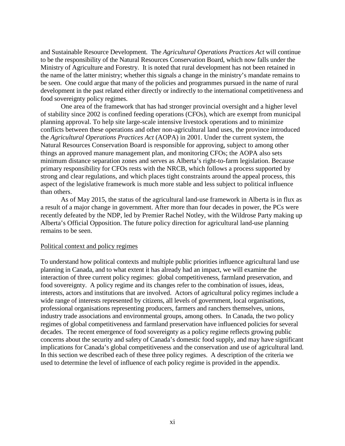and Sustainable Resource Development*.* The *Agricultural Operations Practices Act* will continue to be the responsibility of the Natural Resources Conservation Board, which now falls under the Ministry of Agriculture and Forestry. It is noted that rural development has not been retained in the name of the latter ministry; whether this signals a change in the ministry's mandate remains to be seen. One could argue that many of the policies and programmes pursued in the name of rural development in the past related either directly or indirectly to the international competitiveness and food sovereignty policy regimes.

One area of the framework that has had stronger provincial oversight and a higher level of stability since 2002 is confined feeding operations (CFOs), which are exempt from municipal planning approval. To help site large-scale intensive livestock operations and to minimize conflicts between these operations and other non-agricultural land uses, the province introduced the *Agricultural Operations Practices Act* (AOPA) in 2001. Under the current system, the Natural Resources Conservation Board is responsible for approving, subject to among other things an approved manure management plan, and monitoring CFOs; the AOPA also sets minimum distance separation zones and serves as Alberta's right-to-farm legislation. Because primary responsibility for CFOs rests with the NRCB, which follows a process supported by strong and clear regulations, and which places tight constraints around the appeal process, this aspect of the legislative framework is much more stable and less subject to political influence than others.

As of May 2015, the status of the agricultural land-use framework in Alberta is in flux as a result of a major change in government. After more than four decades in power, the PCs were recently defeated by the NDP, led by Premier Rachel Notley, with the Wildrose Party making up Alberta's Official Opposition. The future policy direction for agricultural land-use planning remains to be seen.

#### Political context and policy regimes

To understand how political contexts and multiple public priorities influence agricultural land use planning in Canada, and to what extent it has already had an impact, we will examine the interaction of three current policy regimes: global competitiveness, farmland preservation, and food sovereignty. A policy regime and its changes refer to the combination of issues, ideas, interests, actors and institutions that are involved. Actors of agricultural policy regimes include a wide range of interests represented by citizens, all levels of government, local organisations, professional organisations representing producers, farmers and ranchers themselves, unions, industry trade associations and environmental groups, among others. In Canada, the two policy regimes of global competitiveness and farmland preservation have influenced policies for several decades. The recent emergence of food sovereignty as a policy regime reflects growing public concerns about the security and safety of Canada's domestic food supply, and may have significant implications for Canada's global competitiveness and the conservation and use of agricultural land. In this section we described each of these three policy regimes. A description of the criteria we used to determine the level of influence of each policy regime is provided in the appendix.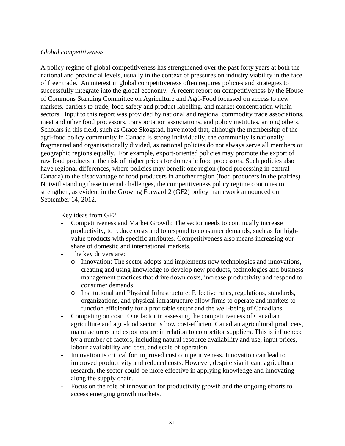## *Global competitiveness*

A policy regime of global competitiveness has strengthened over the past forty years at both the national and provincial levels, usually in the context of pressures on industry viability in the face of freer trade. An interest in global competitiveness often requires policies and strategies to successfully integrate into the global economy. A recent report on competitiveness by the House of Commons Standing Committee on Agriculture and Agri-Food focussed on access to new markets, barriers to trade, food safety and product labelling, and market concentration within sectors. Input to this report was provided by national and regional commodity trade associations, meat and other food processors, transportation associations, and policy institutes, among others. Scholars in this field, such as Grace Skogstad, have noted that, although the membership of the agri-food policy community in Canada is strong individually, the community is nationally fragmented and organisationally divided, as national policies do not always serve all members or geographic regions equally. For example, export-oriented policies may promote the export of raw food products at the risk of higher prices for domestic food processors. Such policies also have regional differences, where policies may benefit one region (food processing in central Canada) to the disadvantage of food producers in another region (food producers in the prairies). Notwithstanding these internal challenges, the competitiveness policy regime continues to strengthen, as evident in the Growing Forward 2 (GF2) policy framework announced on September 14, 2012.

Key ideas from GF2:

- Competitiveness and Market Growth: The sector needs to continually increase productivity, to reduce costs and to respond to consumer demands, such as for highvalue products with specific attributes. Competitiveness also means increasing our share of domestic and international markets.
- The key drivers are:
	- o Innovation: The sector adopts and implements new technologies and innovations, creating and using knowledge to develop new products, technologies and business management practices that drive down costs, increase productivity and respond to consumer demands.
	- o Institutional and Physical Infrastructure: Effective rules, regulations, standards, organizations, and physical infrastructure allow firms to operate and markets to function efficiently for a profitable sector and the well-being of Canadians.
- Competing on cost: One factor in assessing the competitiveness of Canadian agriculture and agri-food sector is how cost-efficient Canadian agricultural producers, manufacturers and exporters are in relation to competitor suppliers. This is influenced by a number of factors, including natural resource availability and use, input prices, labour availability and cost, and scale of operation.
- Innovation is critical for improved cost competitiveness. Innovation can lead to improved productivity and reduced costs. However, despite significant agricultural research, the sector could be more effective in applying knowledge and innovating along the supply chain.
- Focus on the role of innovation for productivity growth and the ongoing efforts to access emerging growth markets.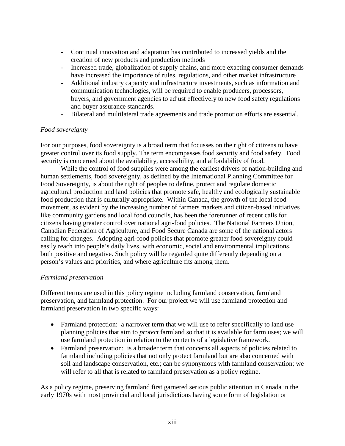- Continual innovation and adaptation has contributed to increased yields and the creation of new products and production methods
- Increased trade, globalization of supply chains, and more exacting consumer demands have increased the importance of rules, regulations, and other market infrastructure
- Additional industry capacity and infrastructure investments, such as information and communication technologies, will be required to enable producers, processors, buyers, and government agencies to adjust effectively to new food safety regulations and buyer assurance standards.
- Bilateral and multilateral trade agreements and trade promotion efforts are essential.

## *Food sovereignty*

For our purposes, food sovereignty is a broad term that focusses on the right of citizens to have greater control over its food supply. The term encompasses food security and food safety. Food security is concerned about the availability, accessibility, and affordability of food.

While the control of food supplies were among the earliest drivers of nation-building and human settlements, food sovereignty, as defined by the International Planning Committee for Food Sovereignty, is about the right of peoples to define, protect and regulate domestic agricultural production and land policies that promote safe, healthy and ecologically sustainable food production that is culturally appropriate. Within Canada, the growth of the local food movement, as evident by the increasing number of farmers markets and citizen-based initiatives like community gardens and local food councils, has been the forerunner of recent calls for citizens having greater control over national agri-food policies. The National Farmers Union, Canadian Federation of Agriculture, and Food Secure Canada are some of the national actors calling for changes. Adopting agri-food policies that promote greater food sovereignty could easily reach into people's daily lives, with economic, social and environmental implications, both positive and negative. Such policy will be regarded quite differently depending on a person's values and priorities, and where agriculture fits among them.

## *Farmland preservation*

Different terms are used in this policy regime including farmland conservation, farmland preservation, and farmland protection. For our project we will use farmland protection and farmland preservation in two specific ways:

- Farmland protection: a narrower term that we will use to refer specifically to land use planning policies that aim to *protect* farmland so that it is available for farm uses; we will use farmland protection in relation to the contents of a legislative framework.
- Farmland preservation: is a broader term that concerns all aspects of policies related to farmland including policies that not only protect farmland but are also concerned with soil and landscape conservation, etc.; can be synonymous with farmland conservation; we will refer to all that is related to farmland preservation as a policy regime.

As a policy regime, preserving farmland first garnered serious public attention in Canada in the early 1970s with most provincial and local jurisdictions having some form of legislation or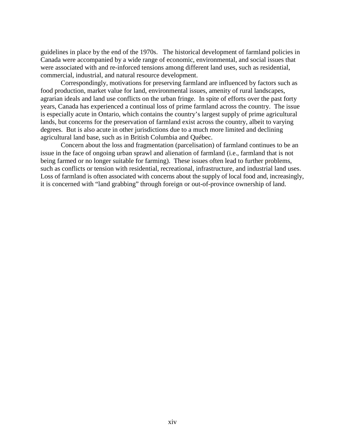guidelines in place by the end of the 1970s. The historical development of farmland policies in Canada were accompanied by a wide range of economic, environmental, and social issues that were associated with and re-inforced tensions among different land uses, such as residential, commercial, industrial, and natural resource development.

Correspondingly, motivations for preserving farmland are influenced by factors such as food production, market value for land, environmental issues, amenity of rural landscapes, agrarian ideals and land use conflicts on the urban fringe. In spite of efforts over the past forty years, Canada has experienced a continual loss of prime farmland across the country. The issue is especially acute in Ontario, which contains the country's largest supply of prime agricultural lands, but concerns for the preservation of farmland exist across the country, albeit to varying degrees. But is also acute in other jurisdictions due to a much more limited and declining agricultural land base, such as in British Columbia and Québec.

Concern about the loss and fragmentation (parcelisation) of farmland continues to be an issue in the face of ongoing urban sprawl and alienation of farmland (i.e., farmland that is not being farmed or no longer suitable for farming). These issues often lead to further problems, such as conflicts or tension with residential, recreational, infrastructure, and industrial land uses. Loss of farmland is often associated with concerns about the supply of local food and, increasingly, it is concerned with "land grabbing" through foreign or out-of-province ownership of land.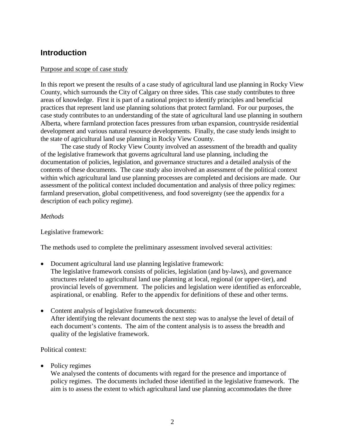## **Introduction**

## Purpose and scope of case study

In this report we present the results of a case study of agricultural land use planning in Rocky View County, which surrounds the City of Calgary on three sides. This case study contributes to three areas of knowledge. First it is part of a national project to identify principles and beneficial practices that represent land use planning solutions that protect farmland. For our purposes, the case study contributes to an understanding of the state of agricultural land use planning in southern Alberta, where farmland protection faces pressures from urban expansion, countryside residential development and various natural resource developments. Finally, the case study lends insight to the state of agricultural land use planning in Rocky View County.

The case study of Rocky View County involved an assessment of the breadth and quality of the legislative framework that governs agricultural land use planning, including the documentation of policies, legislation, and governance structures and a detailed analysis of the contents of these documents. The case study also involved an assessment of the political context within which agricultural land use planning processes are completed and decisions are made. Our assessment of the political context included documentation and analysis of three policy regimes: farmland preservation, global competitiveness, and food sovereignty (see the appendix for a description of each policy regime).

## *Methods*

Legislative framework:

The methods used to complete the preliminary assessment involved several activities:

- Document agricultural land use planning legislative framework: The legislative framework consists of policies, legislation (and by-laws), and governance structures related to agricultural land use planning at local, regional (or upper-tier), and provincial levels of government. The policies and legislation were identified as enforceable, aspirational, or enabling. Refer to the appendix for definitions of these and other terms.
- Content analysis of legislative framework documents: After identifying the relevant documents the next step was to analyse the level of detail of each document's contents. The aim of the content analysis is to assess the breadth and quality of the legislative framework.

Political context:

• Policy regimes

We analysed the contents of documents with regard for the presence and importance of policy regimes. The documents included those identified in the legislative framework. The aim is to assess the extent to which agricultural land use planning accommodates the three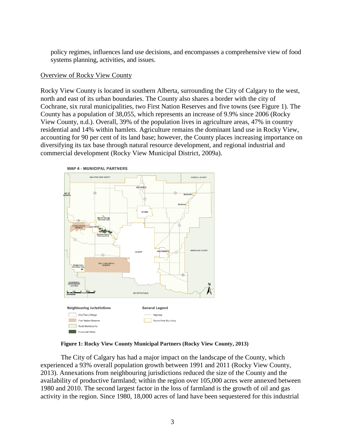policy regimes, influences land use decisions, and encompasses a comprehensive view of food systems planning, activities, and issues.

## Overview of Rocky View County

Rocky View County is located in southern Alberta, surrounding the City of Calgary to the west, north and east of its urban boundaries. The County also shares a border with the city of Cochrane, six rural municipalities, two First Nation Reserves and five towns (see Figure 1). The County has a population of 38,055, which represents an increase of 9.9% since 2006 (Rocky View County, n.d.). Overall, 39% of the population lives in agriculture areas, 47% in country residential and 14% within hamlets. Agriculture remains the dominant land use in Rocky View, accounting for 90 per cent of its land base; however, the County places increasing importance on diversifying its tax base through natural resource development, and regional industrial and commercial development (Rocky View Municipal District, 2009a).



**Figure 1: Rocky View County Municipal Partners (Rocky View County, 2013)**

The City of Calgary has had a major impact on the landscape of the County, which experienced a 93% overall population growth between 1991 and 2011 (Rocky View County, 2013). Annexations from neighbouring jurisdictions reduced the size of the County and the availability of productive farmland; within the region over 105,000 acres were annexed between 1980 and 2010. The second largest factor in the loss of farmland is the growth of oil and gas activity in the region. Since 1980, 18,000 acres of land have been sequestered for this industrial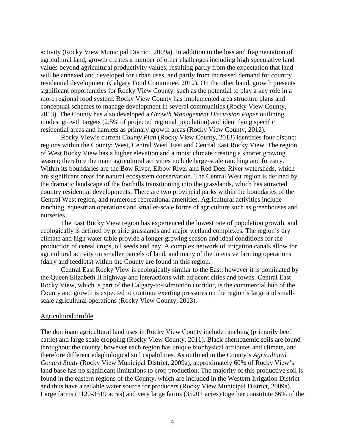activity (Rocky View Municipal District, 2009a). In addition to the loss and fragmentation of agricultural land, growth creates a number of other challenges including high speculative land values beyond agricultural productivity values, resulting partly from the expectation that land will be annexed and developed for urban uses, and partly from increased demand for country residential development (Calgary Food Committee, 2012). On the other hand, growth presents significant opportunities for Rocky View County, such as the potential to play a key role in a more regional food system. Rocky View County has implemented area structure plans and conceptual schemes to manage development in several communities (Rocky View County, 2013). The County has also developed a *Growth Management Discussion Paper* outlining modest growth targets (2.5% of projected regional population) and identifying specific residential areas and hamlets as primary growth areas (Rocky View County, 2012).

Rocky View's current *County Plan* (Rocky View County, 2013) identifies four distinct regions within the County: West, Central West, East and Central East Rocky View. The region of West Rocky View has a higher elevation and a moist climate creating a shorter growing season; therefore the main agricultural activities include large-scale ranching and forestry. Within its boundaries are the Bow River, Elbow River and Red Deer River watersheds, which are significant areas for natural ecosystem conservation. The Central West region is defined by the dramatic landscape of the foothills transitioning into the grasslands, which has attracted country residential developments. There are two provincial parks within the boundaries of the Central West region, and numerous recreational amenities. Agricultural activities include ranching, equestrian operations and smaller-scale forms of agriculture such as greenhouses and nurseries.

The East Rocky View region has experienced the lowest rate of population growth, and ecologically is defined by prairie grasslands and major wetland complexes. The region's dry climate and high water table provide a longer growing season and ideal conditions for the production of cereal crops, oil seeds and hay. A complex network of irrigation canals allow for agricultural activity on smaller parcels of land, and many of the intensive farming operations (dairy and feedlots) within the County are found in this region.

Central East Rocky View is ecologically similar to the East; however it is dominated by the Queen Elizabeth II highway and interactions with adjacent cities and towns. Central East Rocky View, which is part of the Calgary-to-Edmonton corridor, is the commercial hub of the County and growth is expected to continue exerting pressures on the region's large and smallscale agricultural operations (Rocky View County, 2013).

### Agricultural profile

The dominant agricultural land uses in Rocky View County include ranching (primarily beef cattle) and large scale cropping (Rocky View County, 2011). Black chernozemic soils are found throughout the county; however each region has unique biophysical attributes and climate, and therefore different edaphological soil capabilities. As outlined in the County's *Agricultural Context Study* (Rocky View Municipal District, 2009a), approximately 60% of Rocky View's land base has no significant limitations to crop production. The majority of this productive soil is found in the eastern regions of the County, which are included in the Western Irrigation District and thus have a reliable water source for producers (Rocky View Municipal District, 2009a). Large farms (1120-3519 acres) and very large farms (3520+ acres) together constitute 66% of the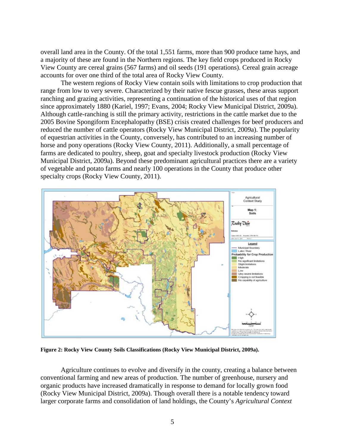overall land area in the County. Of the total 1,551 farms, more than 900 produce tame hays, and a majority of these are found in the Northern regions. The key field crops produced in Rocky View County are cereal grains (567 farms) and oil seeds (191 operations). Cereal grain acreage accounts for over one third of the total area of Rocky View County.

The western regions of Rocky View contain soils with limitations to crop production that range from low to very severe. Characterized by their native fescue grasses, these areas support ranching and grazing activities, representing a continuation of the historical uses of that region since approximately 1880 (Kariel, 1997; Evans, 2004; Rocky View Municipal District, 2009a). Although cattle-ranching is still the primary activity, restrictions in the cattle market due to the 2005 Bovine Spongiform Encephalopathy (BSE) crisis created challenges for beef producers and reduced the number of cattle operators (Rocky View Municipal District, 2009a). The popularity of equestrian activities in the County, conversely, has contributed to an increasing number of horse and pony operations (Rocky View County, 2011). Additionally, a small percentage of farms are dedicated to poultry, sheep, goat and specialty livestock production (Rocky View Municipal District, 2009a). Beyond these predominant agricultural practices there are a variety of vegetable and potato farms and nearly 100 operations in the County that produce other specialty crops (Rocky View County, 2011).



**Figure 2: Rocky View County Soils Classifications (Rocky View Municipal District, 2009a).**

Agriculture continues to evolve and diversify in the county, creating a balance between conventional farming and new areas of production. The number of greenhouse, nursery and organic products have increased dramatically in response to demand for locally grown food (Rocky View Municipal District, 2009a). Though overall there is a notable tendency toward larger corporate farms and consolidation of land holdings, the County's *Agricultural Context*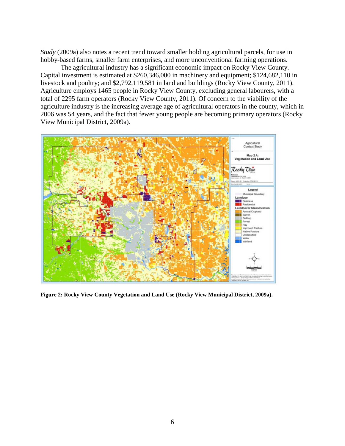*Study* (2009a) also notes a recent trend toward smaller holding agricultural parcels, for use in hobby-based farms, smaller farm enterprises, and more unconventional farming operations.

The agricultural industry has a significant economic impact on Rocky View County. Capital investment is estimated at \$260,346,000 in machinery and equipment; \$124,682,110 in livestock and poultry; and \$2,792,119,581 in land and buildings (Rocky View County, 2011). Agriculture employs 1465 people in Rocky View County, excluding general labourers, with a total of 2295 farm operators (Rocky View County, 2011). Of concern to the viability of the agriculture industry is the increasing average age of agricultural operators in the county, which in 2006 was 54 years, and the fact that fewer young people are becoming primary operators (Rocky View Municipal District, 2009a).



**Figure 2: Rocky View County Vegetation and Land Use (Rocky View Municipal District, 2009a).**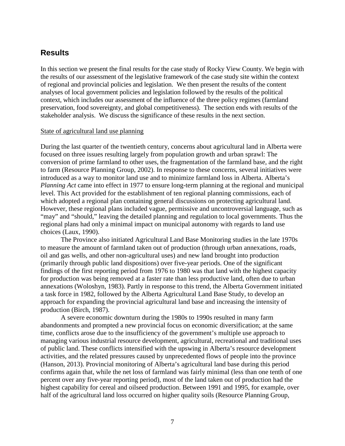## **Results**

In this section we present the final results for the case study of Rocky View County. We begin with the results of our assessment of the legislative framework of the case study site within the context of regional and provincial policies and legislation. We then present the results of the content analyses of local government policies and legislation followed by the results of the political context, which includes our assessment of the influence of the three policy regimes (farmland preservation, food sovereignty, and global competitiveness). The section ends with results of the stakeholder analysis. We discuss the significance of these results in the next section.

### State of agricultural land use planning

During the last quarter of the twentieth century, concerns about agricultural land in Alberta were focused on three issues resulting largely from population growth and urban sprawl: The conversion of prime farmland to other uses, the fragmentation of the farmland base, and the right to farm (Resource Planning Group, 2002). In response to these concerns, several initiatives were introduced as a way to monitor land use and to minimize farmland loss in Alberta. Alberta's *Planning Act* came into effect in 1977 to ensure long-term planning at the regional and municipal level. This Act provided for the establishment of ten regional planning commissions, each of which adopted a regional plan containing general discussions on protecting agricultural land. However, these regional plans included vague, permissive and uncontroversial language, such as "may" and "should," leaving the detailed planning and regulation to local governments. Thus the regional plans had only a minimal impact on municipal autonomy with regards to land use choices (Laux, 1990).

The Province also initiated Agricultural Land Base Monitoring studies in the late 1970s to measure the amount of farmland taken out of production (through urban annexations, roads, oil and gas wells, and other non-agricultural uses) and new land brought into production (primarily through public land dispositions) over five-year periods. One of the significant findings of the first reporting period from 1976 to 1980 was that land with the highest capacity for production was being removed at a faster rate than less productive land, often due to urban annexations (Woloshyn, 1983). Partly in response to this trend, the Alberta Government initiated a task force in 1982, followed by the Alberta Agricultural Land Base Study, to develop an approach for expanding the provincial agricultural land base and increasing the intensity of production (Birch, 1987).

A severe economic downturn during the 1980s to 1990s resulted in many farm abandonments and prompted a new provincial focus on economic diversification; at the same time, conflicts arose due to the insufficiency of the government's multiple use approach to managing various industrial resource development, agricultural, recreational and traditional uses of public land. These conflicts intensified with the upswing in Alberta's resource development activities, and the related pressures caused by unprecedented flows of people into the province (Hanson, 2013). Provincial monitoring of Alberta's agricultural land base during this period confirms again that, while the net loss of farmland was fairly minimal (less than one tenth of one percent over any five-year reporting period), most of the land taken out of production had the highest capability for cereal and oilseed production. Between 1991 and 1995, for example, over half of the agricultural land loss occurred on higher quality soils (Resource Planning Group,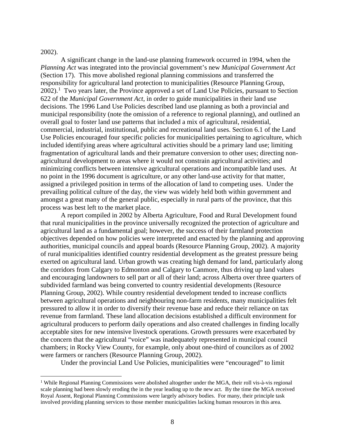#### 2002).

 $\overline{a}$ 

A significant change in the land-use planning framework occurred in 1994, when the *Planning Act* was integrated into the provincial government's new *Municipal Government Act* (Section 17). This move abolished regional planning commissions and transferred the responsibility for agricultural land protection to municipalities (Resource Planning Group,  $2002$ ).<sup>[1](#page-22-0)</sup> Two years later, the Province approved a set of Land Use Policies, pursuant to Section 622 of the *Municipal Government Act*, in order to guide municipalities in their land use decisions. The 1996 Land Use Policies described land use planning as both a provincial and municipal responsibility (note the omission of a reference to regional planning), and outlined an overall goal to foster land use patterns that included a mix of agricultural, residential, commercial, industrial, institutional, public and recreational land uses. Section 6.1 of the Land Use Policies encouraged four specific policies for municipalities pertaining to agriculture, which included identifying areas where agricultural activities should be a primary land use; limiting fragmentation of agricultural lands and their premature conversion to other uses; directing nonagricultural development to areas where it would not constrain agricultural activities; and minimizing conflicts between intensive agricultural operations and incompatible land uses. At no point in the 1996 document is agriculture, or any other land-use activity for that matter, assigned a privileged position in terms of the allocation of land to competing uses. Under the prevailing political culture of the day, the view was widely held both within government and amongst a great many of the general public, especially in rural parts of the province, that this process was best left to the market place.

A report compiled in 2002 by Alberta Agriculture, Food and Rural Development found that rural municipalities in the province universally recognized the protection of agriculture and agricultural land as a fundamental goal; however, the success of their farmland protection objectives depended on how policies were interpreted and enacted by the planning and approving authorities, municipal councils and appeal boards (Resource Planning Group, 2002). A majority of rural municipalities identified country residential development as the greatest pressure being exerted on agricultural land. Urban growth was creating high demand for land, particularly along the corridors from Calgary to Edmonton and Calgary to Canmore, thus driving up land values and encouraging landowners to sell part or all of their land; across Alberta over three quarters of subdivided farmland was being converted to country residential developments (Resource Planning Group, 2002). While country residential development tended to increase conflicts between agricultural operations and neighbouring non-farm residents, many municipalities felt pressured to allow it in order to diversify their revenue base and reduce their reliance on tax revenue from farmland. These land allocation decisions established a difficult environment for agricultural producers to perform daily operations and also created challenges in finding locally acceptable sites for new intensive livestock operations. Growth pressures were exacerbated by the concern that the agricultural "voice" was inadequately represented in municipal council chambers; in Rocky View County, for example, only about one-third of councilors as of 2002 were farmers or ranchers (Resource Planning Group, 2002).

Under the provincial Land Use Policies, municipalities were "encouraged" to limit

<span id="page-22-0"></span><sup>1</sup> While Regional Planning Commissions were abolished altogether under the MGA, their roll vis-à-vis regional scale planning had been slowly eroding the in the year leading up to the new act. By the time the MGA received Royal Assent, Regional Planning Commissions were largely advisory bodies. For many, their principle task involved providing planning services to those member municipalities lacking human resources in this area.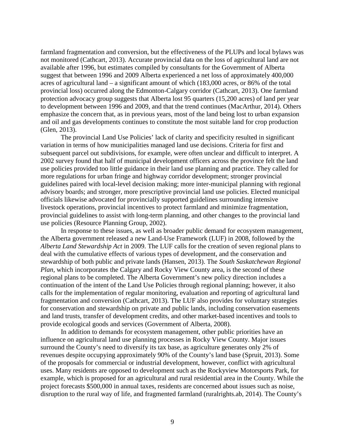farmland fragmentation and conversion, but the effectiveness of the PLUPs and local bylaws was not monitored (Cathcart, 2013). Accurate provincial data on the loss of agricultural land are not available after 1996, but estimates compiled by consultants for the Government of Alberta suggest that between 1996 and 2009 Alberta experienced a net loss of approximately 400,000 acres of agricultural land – a significant amount of which (183,000 acres, or 86% of the total provincial loss) occurred along the Edmonton-Calgary corridor (Cathcart, 2013). One farmland protection advocacy group suggests that Alberta lost 95 quarters (15,200 acres) of land per year to development between 1996 and 2009, and that the trend continues (MacArthur, 2014). Others emphasize the concern that, as in previous years, most of the land being lost to urban expansion and oil and gas developments continues to constitute the most suitable land for crop production (Glen, 2013).

The provincial Land Use Policies' lack of clarity and specificity resulted in significant variation in terms of how municipalities managed land use decisions. Criteria for first and subsequent parcel out subdivisions, for example, were often unclear and difficult to interpret. A 2002 survey found that half of municipal development officers across the province felt the land use policies provided too little guidance in their land use planning and practice. They called for more regulations for urban fringe and highway corridor development; stronger provincial guidelines paired with local-level decision making; more inter-municipal planning with regional advisory boards; and stronger, more prescriptive provincial land use policies. Elected municipal officials likewise advocated for provincially supported guidelines surrounding intensive livestock operations, provincial incentives to protect farmland and minimize fragmentation, provincial guidelines to assist with long-term planning, and other changes to the provincial land use policies (Resource Planning Group, 2002).

In response to these issues, as well as broader public demand for ecosystem management, the Alberta government released a new Land-Use Framework (LUF) in 2008, followed by the *Alberta Land Stewardship Act* in 2009. The LUF calls for the creation of seven regional plans to deal with the cumulative effects of various types of development, and the conservation and stewardship of both public and private lands (Hansen, 2013). The *South Saskatchewan Regional Plan*, which incorporates the Calgary and Rocky View County area, is the second of these regional plans to be completed. The Alberta Government's new policy direction includes a continuation of the intent of the Land Use Policies through regional planning; however, it also calls for the implementation of regular monitoring, evaluation and reporting of agricultural land fragmentation and conversion (Cathcart, 2013). The LUF also provides for voluntary strategies for conservation and stewardship on private and public lands, including conservation easements and land trusts, transfer of development credits, and other market-based incentives and tools to provide ecological goods and services (Government of Alberta, 2008).

In addition to demands for ecosystem management, other public priorities have an influence on agricultural land use planning processes in Rocky View County. Major issues surround the County's need to diversify its tax base, as agriculture generates only 2% of revenues despite occupying approximately 90% of the County's land base (Spruit, 2013). Some of the proposals for commercial or industrial development, however, conflict with agricultural uses. Many residents are opposed to development such as the Rockyview Motorsports Park, for example, which is proposed for an agricultural and rural residential area in the County. While the project forecasts \$500,000 in annual taxes, residents are concerned about issues such as noise, disruption to the rural way of life, and fragmented farmland (ruralrights.ab, 2014). The County's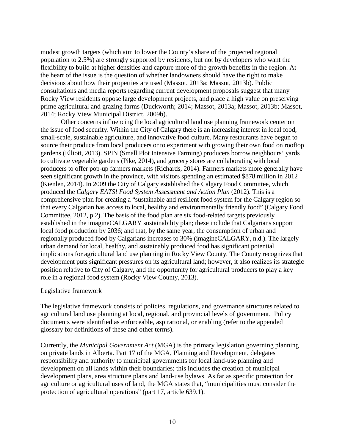modest growth targets (which aim to lower the County's share of the projected regional population to 2.5%) are strongly supported by residents, but not by developers who want the flexibility to build at higher densities and capture more of the growth benefits in the region. At the heart of the issue is the question of whether landowners should have the right to make decisions about how their properties are used (Massot, 2013a; Massot, 2013b). Public consultations and media reports regarding current development proposals suggest that many Rocky View residents oppose large development projects, and place a high value on preserving prime agricultural and grazing farms (Duckworth; 2014; Massot, 2013a; Massot, 2013b; Massot, 2014; Rocky View Municipal District, 2009b).

Other concerns influencing the local agricultural land use planning framework center on the issue of food security. Within the City of Calgary there is an increasing interest in local food, small-scale, sustainable agriculture, and innovative food culture. Many restaurants have begun to source their produce from local producers or to experiment with growing their own food on rooftop gardens (Elliott, 2013). SPIN (Small Plot Intensive Farming) producers borrow neighbours' yards to cultivate vegetable gardens (Pike, 2014), and grocery stores are collaborating with local producers to offer pop-up farmers markets (Richards, 2014). Farmers markets more generally have seen significant growth in the province, with visitors spending an estimated \$878 million in 2012 (Kienlen, 2014). In 2009 the City of Calgary established the Calgary Food Committee, which produced the *Calgary EATS! Food System Assessment and Action Plan* (2012). This is a comprehensive plan for creating a "sustainable and resilient food system for the Calgary region so that every Calgarian has access to local, healthy and environmentally friendly food" (Calgary Food Committee, 2012, p.2). The basis of the food plan are six food-related targets previously established in the imagineCALGARY sustainability plan; these include that Calgarians support local food production by 2036; and that, by the same year, the consumption of urban and regionally produced food by Calgarians increases to 30% (imagineCALGARY, n.d.). The largely urban demand for local, healthy, and sustainably produced food has significant potential implications for agricultural land use planning in Rocky View County. The County recognizes that development puts significant pressures on its agricultural land; however, it also realizes its strategic position relative to City of Calgary, and the opportunity for agricultural producers to play a key role in a regional food system (Rocky View County, 2013).

## Legislative framework

The legislative framework consists of policies, regulations, and governance structures related to agricultural land use planning at local, regional, and provincial levels of government. Policy documents were identified as enforceable, aspirational, or enabling (refer to the appended glossary for definitions of these and other terms).

Currently, the *Municipal Government Act* (MGA) is the primary legislation governing planning on private lands in Alberta. Part 17 of the MGA, Planning and Development, delegates responsibility and authority to municipal governments for local land-use planning and development on all lands within their boundaries; this includes the creation of municipal development plans, area structure plans and land-use bylaws. As far as specific protection for agriculture or agricultural uses of land, the MGA states that, "municipalities must consider the protection of agricultural operations" (part 17, article 639.1).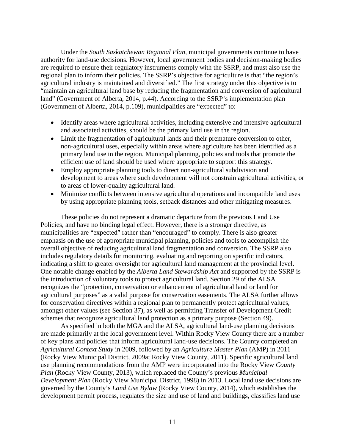Under the *South Saskatchewan Regional Plan*, municipal governments continue to have authority for land-use decisions. However, local government bodies and decision-making bodies are required to ensure their regulatory instruments comply with the SSRP, and must also use the regional plan to inform their policies. The SSRP's objective for agriculture is that "the region's agricultural industry is maintained and diversified." The first strategy under this objective is to "maintain an agricultural land base by reducing the fragmentation and conversion of agricultural land" (Government of Alberta, 2014, p.44). According to the SSRP's implementation plan (Government of Alberta, 2014, p.109), municipalities are "expected" to:

- Identify areas where agricultural activities, including extensive and intensive agricultural and associated activities, should be the primary land use in the region.
- Limit the fragmentation of agricultural lands and their premature conversion to other, non-agricultural uses, especially within areas where agriculture has been identified as a primary land use in the region. Municipal planning, policies and tools that promote the efficient use of land should be used where appropriate to support this strategy.
- Employ appropriate planning tools to direct non-agricultural subdivision and development to areas where such development will not constrain agricultural activities, or to areas of lower-quality agricultural land.
- Minimize conflicts between intensive agricultural operations and incompatible land uses by using appropriate planning tools, setback distances and other mitigating measures.

These policies do not represent a dramatic departure from the previous Land Use Policies, and have no binding legal effect. However, there is a stronger directive, as municipalities are "expected" rather than "encouraged" to comply. There is also greater emphasis on the use of appropriate municipal planning, policies and tools to accomplish the overall objective of reducing agricultural land fragmentation and conversion. The SSRP also includes regulatory details for monitoring, evaluating and reporting on specific indicators, indicating a shift to greater oversight for agricultural land management at the provincial level. One notable change enabled by the *Alberta Land Stewardship Act* and supported by the SSRP is the introduction of voluntary tools to protect agricultural land. Section 29 of the ALSA recognizes the "protection, conservation or enhancement of agricultural land or land for agricultural purposes" as a valid purpose for conservation easements. The ALSA further allows for conservation directives within a regional plan to permanently protect agricultural values, amongst other values (see Section 37), as well as permitting Transfer of Development Credit schemes that recognize agricultural land protection as a primary purpose (Section 49).

As specified in both the MGA and the ALSA, agricultural land-use planning decisions are made primarily at the local government level. Within Rocky View County there are a number of key plans and policies that inform agricultural land-use decisions. The County completed an *Agricultural Context Study* in 2009, followed by an *Agriculture Master Plan* (AMP) in 2011 (Rocky View Municipal District, 2009a; Rocky View County, 2011). Specific agricultural land use planning recommendations from the AMP were incorporated into the Rocky View *County Plan* (Rocky View County, 2013), which replaced the County's previous *Municipal Development Plan* (Rocky View Municipal District, 1998) in 2013. Local land use decisions are governed by the County's *Land Use Bylaw* (Rocky View County, 2014), which establishes the development permit process, regulates the size and use of land and buildings, classifies land use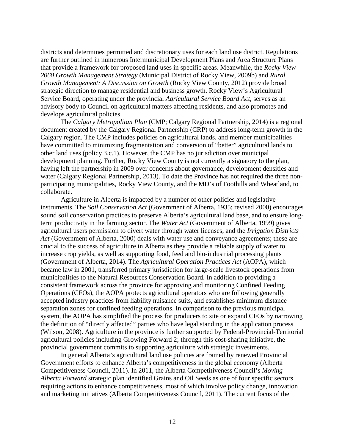districts and determines permitted and discretionary uses for each land use district. Regulations are further outlined in numerous Intermunicipal Development Plans and Area Structure Plans that provide a framework for proposed land uses in specific areas. Meanwhile, the *Rocky View 2060 Growth Management Strategy* (Municipal District of Rocky View, 2009b) and *Rural Growth Management: A Discussion on Growth* (Rocky View County, 2012) provide broad strategic direction to manage residential and business growth. Rocky View's Agricultural Service Board, operating under the provincial *Agricultural Service Board Act*, serves as an advisory body to Council on agricultural matters affecting residents, and also promotes and develops agricultural policies.

The *Calgary Metropolitan Plan* (CMP; Calgary Regional Partnership, 2014) is a regional document created by the Calgary Regional Partnership (CRP) to address long-term growth in the Calgary region. The CMP includes policies on agricultural lands, and member municipalities have committed to minimizing fragmentation and conversion of "better" agricultural lands to other land uses (policy 3.c.1). However, the CMP has no jurisdiction over municipal development planning. Further, Rocky View County is not currently a signatory to the plan, having left the partnership in 2009 over concerns about governance, development densities and water (Calgary Regional Partnership, 2013). To date the Province has not required the three nonparticipating municipalities, Rocky View County, and the MD's of Foothills and Wheatland, to collaborate.

Agriculture in Alberta is impacted by a number of other policies and legislative instruments. The *Soil Conservation Act* (Government of Alberta, 1935; revised 2000) encourages sound soil conservation practices to preserve Alberta's agricultural land base, and to ensure longterm productivity in the farming sector. The *Water Act* (Government of Alberta, 1999) gives agricultural users permission to divert water through water licenses, and the *Irrigation Districts Act* (Government of Alberta, 2000) deals with water use and conveyance agreements; these are crucial to the success of agriculture in Alberta as they provide a reliable supply of water to increase crop yields, as well as supporting food, feed and bio-industrial processing plants (Government of Alberta, 2014). The *Agricultural Operation Practices Act* (AOPA), which became law in 2001, transferred primary jurisdiction for large-scale livestock operations from municipalities to the Natural Resources Conservation Board. In addition to providing a consistent framework across the province for approving and monitoring Confined Feeding Operations (CFOs), the AOPA protects agricultural operators who are following generally accepted industry practices from liability nuisance suits, and establishes minimum distance separation zones for confined feeding operations. In comparison to the previous municipal system, the AOPA has simplified the process for producers to site or expand CFOs by narrowing the definition of "directly affected" parties who have legal standing in the application process (Wilson, 2008). Agriculture in the province is further supported by Federal-Provincial-Territorial agricultural policies including Growing Forward 2; through this cost-sharing initiative, the provincial government commits to supporting agriculture with strategic investments.

In general Alberta's agricultural land use policies are framed by renewed Provincial Government efforts to enhance Alberta's competitiveness in the global economy (Alberta Competitiveness Council, 2011). In 2011, the Alberta Competitiveness Council's *Moving Alberta Forward* strategic plan identified Grains and Oil Seeds as one of four specific sectors requiring actions to enhance competitiveness, most of which involve policy change, innovation and marketing initiatives (Alberta Competitiveness Council, 2011). The current focus of the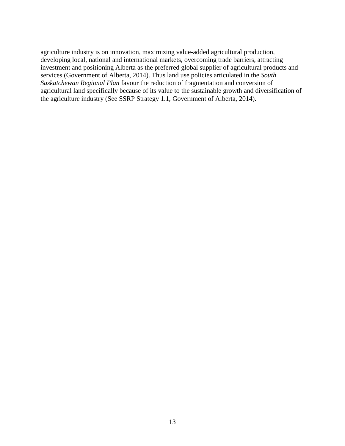agriculture industry is on innovation, maximizing value-added agricultural production, developing local, national and international markets, overcoming trade barriers, attracting investment and positioning Alberta as the preferred global supplier of agricultural products and services (Government of Alberta, 2014). Thus land use policies articulated in the *South Saskatchewan Regional Plan* favour the reduction of fragmentation and conversion of agricultural land specifically because of its value to the sustainable growth and diversification of the agriculture industry (See SSRP Strategy 1.1, Government of Alberta, 2014).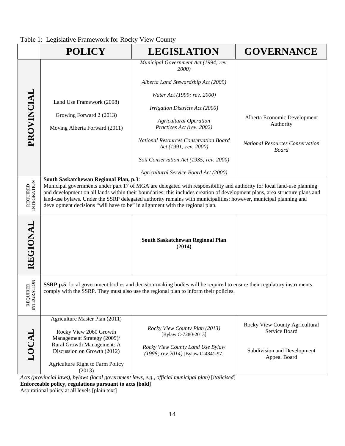|                         | <b>POLICY</b>                                                                                                                                                                                                                                                                                                                                                                                                                                                                                       | <b>LEGISLATION</b>                                                                                                                                                                                                   | <b>GOVERNANCE</b>                                      |  |  |  |  |
|-------------------------|-----------------------------------------------------------------------------------------------------------------------------------------------------------------------------------------------------------------------------------------------------------------------------------------------------------------------------------------------------------------------------------------------------------------------------------------------------------------------------------------------------|----------------------------------------------------------------------------------------------------------------------------------------------------------------------------------------------------------------------|--------------------------------------------------------|--|--|--|--|
| PROVINCIAL              |                                                                                                                                                                                                                                                                                                                                                                                                                                                                                                     | Municipal Government Act (1994; rev.<br>2000)                                                                                                                                                                        |                                                        |  |  |  |  |
|                         |                                                                                                                                                                                                                                                                                                                                                                                                                                                                                                     | Alberta Land Stewardship Act (2009)                                                                                                                                                                                  |                                                        |  |  |  |  |
|                         |                                                                                                                                                                                                                                                                                                                                                                                                                                                                                                     | Water Act (1999; rev. 2000)                                                                                                                                                                                          |                                                        |  |  |  |  |
|                         | Land Use Framework (2008)                                                                                                                                                                                                                                                                                                                                                                                                                                                                           | Irrigation Districts Act (2000)                                                                                                                                                                                      |                                                        |  |  |  |  |
|                         | Growing Forward 2 (2013)<br>Moving Alberta Forward (2011)                                                                                                                                                                                                                                                                                                                                                                                                                                           | <b>Agricultural Operation</b><br>Practices Act (rev. 2002)                                                                                                                                                           | Alberta Economic Development<br>Authority              |  |  |  |  |
|                         |                                                                                                                                                                                                                                                                                                                                                                                                                                                                                                     | National Resources Conservation Board<br>Act (1991; rev. 2000)                                                                                                                                                       | <b>National Resources Conservation</b><br><b>Board</b> |  |  |  |  |
|                         |                                                                                                                                                                                                                                                                                                                                                                                                                                                                                                     | Soil Conservation Act (1935; rev. 2000)                                                                                                                                                                              |                                                        |  |  |  |  |
|                         |                                                                                                                                                                                                                                                                                                                                                                                                                                                                                                     | Agricultural Service Board Act (2000)                                                                                                                                                                                |                                                        |  |  |  |  |
| REQUIRED<br>INTEGRATION | South Saskatchewan Regional Plan, p.3:<br>Municipal governments under part 17 of MGA are delegated with responsibility and authority for local land-use planning<br>and development on all lands within their boundaries; this includes creation of development plans, area structure plans and<br>land-use bylaws. Under the SSRP delegated authority remains with municipalities; however, municipal planning and<br>development decisions "will have to be" in alignment with the regional plan. |                                                                                                                                                                                                                      |                                                        |  |  |  |  |
| REGIONAL                |                                                                                                                                                                                                                                                                                                                                                                                                                                                                                                     | South Saskatchewan Regional Plan<br>(2014)                                                                                                                                                                           |                                                        |  |  |  |  |
| REQUIRED<br>INTEGRATION |                                                                                                                                                                                                                                                                                                                                                                                                                                                                                                     | <b>SSRP p.5</b> : local government bodies and decision-making bodies will be required to ensure their regulatory instruments<br>comply with the SSRP. They must also use the regional plan to inform their policies. |                                                        |  |  |  |  |
|                         | Agriculture Master Plan (2011)                                                                                                                                                                                                                                                                                                                                                                                                                                                                      |                                                                                                                                                                                                                      | Rocky View County Agricultural                         |  |  |  |  |
|                         | Rocky View 2060 Growth<br>Management Strategy (2009)/                                                                                                                                                                                                                                                                                                                                                                                                                                               | Rocky View County Plan (2013)<br>[Bylaw C-7280-2013]                                                                                                                                                                 | Service Board                                          |  |  |  |  |
| LOCAL                   | Rural Growth Management: A<br>Discussion on Growth (2012)<br>Agriculture Right to Farm Policy                                                                                                                                                                                                                                                                                                                                                                                                       | Rocky View County Land Use Bylaw<br>(1998; rev.2014) [Bylaw C-4841-97]                                                                                                                                               | Subdivision and Development<br>Appeal Board            |  |  |  |  |
|                         | (2013)                                                                                                                                                                                                                                                                                                                                                                                                                                                                                              |                                                                                                                                                                                                                      |                                                        |  |  |  |  |

## Table 1: Legislative Framework for Rocky View County

*Acts (provincial laws), bylaws (local government laws, e.g., official municipal plan)* [*italicised*]

**Enforceable policy, regulations pursuant to acts [bold]**

Aspirational policy at all levels [plain text]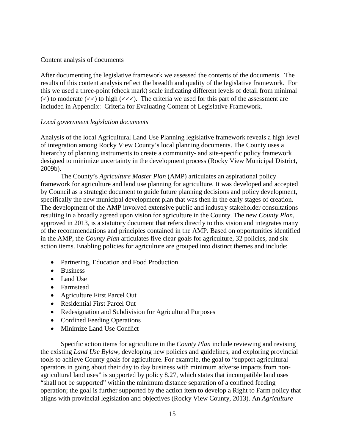## Content analysis of documents

After documenting the legislative framework we assessed the contents of the documents. The results of this content analysis reflect the breadth and quality of the legislative framework. For this we used a three-point (check mark) scale indicating different levels of detail from minimal ( $\checkmark$ ) to moderate ( $\checkmark\checkmark$ ) to high ( $\checkmark\checkmark\checkmark\checkmark$ ). The criteria we used for this part of the assessment are included in Appendix: Criteria for Evaluating Content of Legislative Framework.

## *Local government legislation documents*

Analysis of the local Agricultural Land Use Planning legislative framework reveals a high level of integration among Rocky View County's local planning documents. The County uses a hierarchy of planning instruments to create a community- and site-specific policy framework designed to minimize uncertainty in the development process (Rocky View Municipal District, 2009b).

The County's *Agriculture Master Plan* (AMP) articulates an aspirational policy framework for agriculture and land use planning for agriculture. It was developed and accepted by Council as a strategic document to guide future planning decisions and policy development, specifically the new municipal development plan that was then in the early stages of creation. The development of the AMP involved extensive public and industry stakeholder consultations resulting in a broadly agreed upon vision for agriculture in the County. The new *County Plan*, approved in 2013, is a statutory document that refers directly to this vision and integrates many of the recommendations and principles contained in the AMP. Based on opportunities identified in the AMP, the *County Plan* articulates five clear goals for agriculture, 32 policies, and six action items. Enabling policies for agriculture are grouped into distinct themes and include:

- Partnering, Education and Food Production
- Business
- Land Use
- Farmstead
- Agriculture First Parcel Out
- Residential First Parcel Out
- Redesignation and Subdivision for Agricultural Purposes
- Confined Feeding Operations
- Minimize Land Use Conflict

Specific action items for agriculture in the *County Plan* include reviewing and revising the existing *Land Use Bylaw*, developing new policies and guidelines, and exploring provincial tools to achieve County goals for agriculture. For example, the goal to "support agricultural operators in going about their day to day business with minimum adverse impacts from nonagricultural land uses" is supported by policy 8.27, which states that incompatible land uses "shall not be supported" within the minimum distance separation of a confined feeding operation; the goal is further supported by the action item to develop a Right to Farm policy that aligns with provincial legislation and objectives (Rocky View County, 2013). An *Agriculture*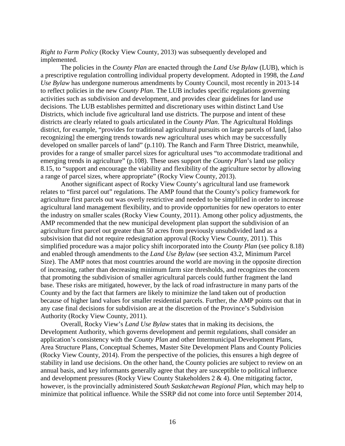*Right to Farm Policy* (Rocky View County, 2013) was subsequently developed and implemented.

The policies in the *County Plan* are enacted through the *Land Use Bylaw* (LUB), which is a prescriptive regulation controlling individual property development. Adopted in 1998, the *Land Use Bylaw* has undergone numerous amendments by County Council, most recently in 2013-14 to reflect policies in the new *County Plan*. The LUB includes specific regulations governing activities such as subdivision and development, and provides clear guidelines for land use decisions. The LUB establishes permitted and discretionary uses within distinct Land Use Districts, which include five agricultural land use districts. The purpose and intent of these districts are clearly related to goals articulated in the *County Plan*. The Agricultural Holdings district, for example, "provides for traditional agricultural pursuits on large parcels of land, [also recognizing] the emerging trends towards new agricultural uses which may be successfully developed on smaller parcels of land" (p.110). The Ranch and Farm Three District, meanwhile, provides for a range of smaller parcel sizes for agricultural uses "to accommodate traditional and emerging trends in agriculture" (p.108). These uses support the *County Plan*'s land use policy 8.15, to "support and encourage the viability and flexibility of the agriculture sector by allowing a range of parcel sizes, where appropriate" (Rocky View County, 2013).

Another significant aspect of Rocky View County's agricultural land use framework relates to "first parcel out" regulations. The AMP found that the County's policy framework for agriculture first parcels out was overly restrictive and needed to be simplified in order to increase agricultural land management flexibility, and to provide opportunities for new operators to enter the industry on smaller scales (Rocky View County, 2011). Among other policy adjustments, the AMP recommended that the new municipal development plan support the subdivision of an agriculture first parcel out greater than 50 acres from previously unsubdivided land as a subsivision that did not require redesignation approval (Rocky View County, 2011). This simplified procedure was a major policy shift incorporated into the *County Plan* (see policy 8.18) and enabled through amendments to the *Land Use Bylaw* (see section 43.2, Minimum Parcel Size). The AMP notes that most countries around the world are moving in the opposite direction of increasing, rather than decreasing minimum farm size thresholds, and recognizes the concern that promoting the subdivision of smaller agricultural parcels could further fragment the land base. These risks are mitigated, however, by the lack of road infrastructure in many parts of the County and by the fact that farmers are likely to minimize the land taken out of production because of higher land values for smaller residential parcels. Further, the AMP points out that in any case final decisions for subdivision are at the discretion of the Province's Subdivision Authority (Rocky View County, 2011).

Overall, Rocky View's *Land Use Bylaw* states that in making its decisions, the Development Authority, which governs development and permit regulations, shall consider an application's consistency with the *County Plan* and other Intermunicipal Development Plans, Area Structure Plans, Conceptual Schemes, Master Site Development Plans and County Policies (Rocky View County, 2014). From the perspective of the policies, this ensures a high degree of stability in land use decisions. On the other hand, the County policies are subject to review on an annual basis, and key informants generally agree that they are susceptible to political influence and development pressures (Rocky View County Stakeholders 2 & 4). One mitigating factor, however, is the provincially administered *South Saskatchewan Regional Plan*, which may help to minimize that political influence. While the SSRP did not come into force until September 2014,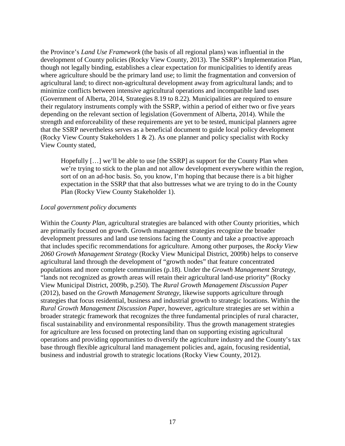the Province's *Land Use Framework* (the basis of all regional plans) was influential in the development of County policies (Rocky View County, 2013). The SSRP's Implementation Plan, though not legally binding, establishes a clear expectation for municipalities to identify areas where agriculture should be the primary land use; to limit the fragmentation and conversion of agricultural land; to direct non-agricultural development away from agricultural lands; and to minimize conflicts between intensive agricultural operations and incompatible land uses (Government of Alberta, 2014, Strategies 8.19 to 8.22). Municipalities are required to ensure their regulatory instruments comply with the SSRP, within a period of either two or five years depending on the relevant section of legislation (Government of Alberta, 2014). While the strength and enforceability of these requirements are yet to be tested, municipal planners agree that the SSRP nevertheless serves as a beneficial document to guide local policy development (Rocky View County Stakeholders 1 & 2). As one planner and policy specialist with Rocky View County stated,

Hopefully […] we'll be able to use [the SSRP] as support for the County Plan when we're trying to stick to the plan and not allow development everywhere within the region, sort of on an ad-hoc basis. So, you know, I'm hoping that because there is a bit higher expectation in the SSRP that that also buttresses what we are trying to do in the County Plan (Rocky View County Stakeholder 1).

## *Local government policy documents*

Within the *County Plan*, agricultural strategies are balanced with other County priorities, which are primarily focused on growth. Growth management strategies recognize the broader development pressures and land use tensions facing the County and take a proactive approach that includes specific recommendations for agriculture. Among other purposes, the *Rocky View 2060 Growth Management Strategy* (Rocky View Municipal District, 2009b) helps to conserve agricultural land through the development of "growth nodes" that feature concentrated populations and more complete communities (p.18). Under the *Growth Management Strategy*, "lands not recognized as growth areas will retain their agricultural land-use priority" (Rocky View Municipal District, 2009b, p.250). The *Rural Growth Management Discussion Paper*  (2012), based on the *Growth Management Strategy*, likewise supports agriculture through strategies that focus residential, business and industrial growth to strategic locations. Within the *Rural Growth Management Discussion Paper*, however, agriculture strategies are set within a broader strategic framework that recognizes the three fundamental principles of rural character, fiscal sustainability and environmental responsibility. Thus the growth management strategies for agriculture are less focused on protecting land than on supporting existing agricultural operations and providing opportunities to diversify the agriculture industry and the County's tax base through flexible agricultural land management policies and, again, focusing residential, business and industrial growth to strategic locations (Rocky View County, 2012).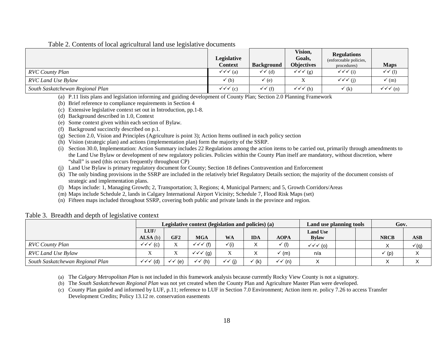### Table 2. Contents of local agricultural land use legislative documents

|                                  | Legislative<br><b>Context</b>              | <b>Background</b> | Vision,<br>Goals,<br><b>Objectives</b> | <b>Regulations</b><br>(enforceable policies,<br>procedures) | <b>Maps</b>                            |
|----------------------------------|--------------------------------------------|-------------------|----------------------------------------|-------------------------------------------------------------|----------------------------------------|
| RVC County Plan                  | $\checkmark$ $\checkmark$ $\checkmark$ (a) | $\checkmark$ (d)  | $\checkmark \checkmark \checkmark (g)$ | $\sqrt{\sqrt{(i)}}$                                         | $\checkmark$ (1)                       |
| RVC Land Use Bylaw               | $\checkmark$ (b)                           | $\checkmark$ (e)  | Λ                                      | $\checkmark\checkmark\checkmark$ (j)                        | $\checkmark$ (m)                       |
| South Saskatchewan Regional Plan | $\sqrt{\sqrt{}}$ (c)                       | $\checkmark$ (f)  | $\checkmark \checkmark \checkmark$ (h) | $\checkmark$ (k)                                            | $\checkmark \checkmark \checkmark$ (n) |

(a) P.11 lists plans and legislation informing and guiding development of County Plan; Section 2.0 Planning Framework

- (b) Brief reference to compliance requirements in Section 4
- (c) Extensive legislative context set out in Introduction, pp.1-8.
- (d) Background described in 1.0, Context
- (e) Some context given within each section of Bylaw.
- (f) Background succinctly described on p.1.
- (g) Section 2.0, Vision and Principles (Agriculture is point 3); Action Items outlined in each policy section
- (h) Vision (strategic plan) and actions (implementation plan) form the majority of the SSRP.
- (i) Section 30.0, Implementation: Action Summary includes 22 Regulations among the action items to be carried out, primarily through amendments to the Land Use Bylaw or development of new regulatory policies. Policies within the County Plan itself are mandatory, without discretion, where "shall" is used (this occurs frequently throughout CP)
- (j) Land Use Bylaw is primary regulatory document for County; Section 18 defines Contravention and Enforcement
- (k) The only binding provisions in the SSRP are included in the relatively brief Regulatory Details section; the majority of the document consists of strategic and implementation plans.
- (l) Maps include: 1, Managing Growth; 2, Transportation; 3, Regions; 4, Municipal Partners; and 5, Growth Corridors/Areas
- (m) Maps include Schedule 2, lands in Calgary International Airport Vicinity; Schedule 7, Flood Risk Maps (set)
- (n) Fifteen maps included throughout SSRP, covering both public and private lands in the province and region.

|                                  | Legislative context (legislation and policies) (a) |                  |                                            |                            |            | Land use planning tools |                                 | Gov. |                  |                  |
|----------------------------------|----------------------------------------------------|------------------|--------------------------------------------|----------------------------|------------|-------------------------|---------------------------------|------|------------------|------------------|
|                                  | LUF/<br>ALSA(b)                                    | GF2              | <b>MGA</b>                                 | <b>WA</b>                  | <b>IDA</b> | <b>AOPA</b>             | <b>Land Use</b><br><b>Bylaw</b> |      | <b>NRCB</b>      | <b>ASB</b>       |
| <b>RVC</b> County Plan           | $\sqrt{\sqrt{}}$ (c)                               | $\mathbf{v}$     | $\checkmark$ $\checkmark$ $\checkmark$ (f) | $\checkmark$ (i)           |            | $\checkmark$ (l)        | $\sqrt{\sqrt{}}$ (0)            |      |                  | $\checkmark$ (q) |
| RVC Land Use Bylaw               |                                                    |                  | $\checkmark$ $\checkmark$ $\checkmark$ (g) |                            |            | (m)                     | n/a                             |      | $\checkmark$ (p) |                  |
| South Saskatchewan Regional Plan | $\sqrt{\sqrt{}}$ (d)                               | $\checkmark$ (e) | $\checkmark$ (h)                           | $\checkmark\checkmark$ (j) | (k)        | $\checkmark$ (n)        | $\lambda$                       |      |                  |                  |

#### Table 3. Breadth and depth of legislative context

(a) The *Calgary Metropolitan Plan* is not included in this framework analysis because currently Rocky View County is not a signatory.

(b) The *South Saskatchewan Regional Plan* was not yet created when the County Plan and Agriculture Master Plan were developed.

(c) County Plan guided and informed by LUF, p.11; reference to LUF in Section 7.0 Environment; Action item re. policy 7.26 to access Transfer Development Credits; Policy 13.12 re. conservation easements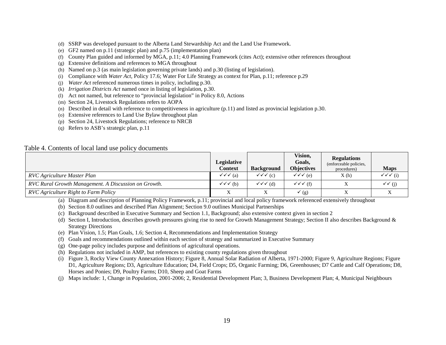- (d) SSRP was developed pursuant to the Alberta Land Stewardship Act and the Land Use Framework.
- (e) GF2 named on p.11 (strategic plan) and p.75 (implementation plan)
- (f) County Plan guided and informed by MGA, p.11; 4.0 Planning Framework (cites Act); extensive other references throughout
- (g) Extensive definitions and references to MGA throughout
- (h) Named on p.3 (as main legislation governing private lands) and p.30 (listing of legislation).
- (i) Compliance with *Water Act*, Policy 17.6; Water For Life Strategy as context for Plan, p.11; reference p.29
- (j) *Water Act* referenced numerous times in policy, including p.30.
- (k) *Irrigation Districts Act* named once in listing of legislation, p.30.
- (l) Act not named, but reference to "provincial legislation" in Policy 8.0, Actions
- (m) Section 24, Livestock Regulations refers to AOPA
- (n) Described in detail with reference to competitiveness in agriculture (p.11) and listed as provincial legislation p.30.
- (o) Extensive references to Land Use Bylaw throughout plan
- (p) Section 24, Livestock Regulations; reference to NRCB
- (q) Refers to ASB's strategic plan, p.11

Table 4. Contents of local land use policy documents

|                                                      | Legislative<br>Context | <b>Background</b>                          | Vision,<br>Goals,<br><b>Objectives</b> | <b>Regulations</b><br>(enforceable policies,<br>procedures) | <b>Maps</b>          |
|------------------------------------------------------|------------------------|--------------------------------------------|----------------------------------------|-------------------------------------------------------------|----------------------|
| RVC Agriculture Master Plan                          | $\sqrt{\sqrt{}}$ (a)   | $\sqrt{\sqrt{}}$ (c)                       | $\sqrt{\sqrt{}}$ (e)                   | X(h)                                                        | $\sqrt{\sqrt{}}$ (i) |
| RVC Rural Growth Management. A Discussion on Growth. | $\sqrt{\sqrt{}}$ (b)   | $\checkmark$ $\checkmark$ $\checkmark$ (d) | $\sqrt{\sqrt{}}$ (f)                   |                                                             | $\checkmark$ (j)     |
| RVC Agriculture Right to Farm Policy                 | $\mathbf{v}$           |                                            | $\checkmark$ (g)                       |                                                             |                      |

(a) Diagram and description of Planning Policy Framework, p.11; provincial and local policy framework referenced extensively throughout

- (b) Section 8.0 outlines and described Plan Alignment; Section 9.0 outlines Municipal Partnerships
- (c) Background described in Executive Summary and Section 1.1, Background; also extensive context given in section 2
- (d) Section I, Introduction, describes growth pressures giving rise to need for Growth Management Strategy; Section II also describes Background & Strategy Directions
- (e) Plan Vision, 1.5; Plan Goals, 1.6; Section 4, Recommendations and Implementation Strategy
- (f) Goals and recommendations outlined within each section of strategy and summarized in Executive Summary
- (g) One-page policy includes purpose and definitions of agricultural operations.
- (h) Regulations not included in AMP, but references to existing county regulations given throughout
- (i) Figure 3, Rocky View County Annexation History; Figure 8, Annual Solar Radiation of Alberta, 1971-2000; Figure 9, Agriculture Regions; Figure D1, Agriculture Regions; D3, Agriculture Education; D4, Field Crops; D5, Organic Farming; D6, Greenhouses; D7 Cattle and Calf Operations; D8, Horses and Ponies; D9, Poultry Farms; D10, Sheep and Goat Farms
- (j) Maps include: 1, Change in Population, 2001-2006; 2, Residential Development Plan; 3, Business Development Plan; 4, Municipal Neighbours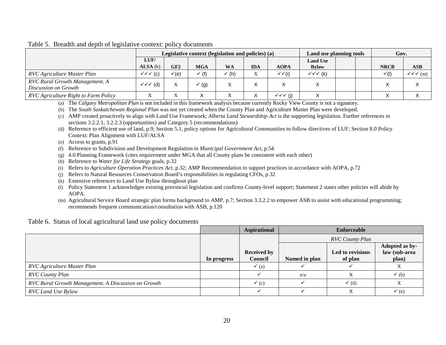|                                                        | Legislative context (legislation and policies) (a) |                  |                  |           |            | Land use planning tools                |                                            | Gov. |                  |                                     |
|--------------------------------------------------------|----------------------------------------------------|------------------|------------------|-----------|------------|----------------------------------------|--------------------------------------------|------|------------------|-------------------------------------|
|                                                        | LUF/<br>ALSA(b)                                    | GF2              | <b>MGA</b>       | <b>WA</b> | <b>IDA</b> | <b>AOPA</b>                            | <b>Land Use</b><br><b>Bylaw</b>            |      | <b>NRCB</b>      | <b>ASB</b>                          |
| RVC Agriculture Master Plan                            | $\checkmark\checkmark\checkmark$ (c)               | $\checkmark$ (e) | $\checkmark$ (f) | (h)       | X          | $\checkmark$ (i)                       | $\checkmark$ $\checkmark$ $\checkmark$ (k) |      | $\checkmark($ l) | $\checkmark\checkmark\checkmark(m)$ |
| RVC Rural Growth Management. A<br>Discussion on Growth | $\checkmark\checkmark\checkmark$ (d)               |                  | $\checkmark$ (g) |           | ⋏          |                                        |                                            |      |                  |                                     |
| <b>RVC</b> Agriculture Right to Farm Policy            |                                                    |                  |                  |           | ㅅ          | $\checkmark \checkmark \checkmark$ (j) |                                            |      |                  |                                     |

## Table 5. Breadth and depth of legislative context: policy documents

(a) The *Calgary Metropolitan Plan* is not included in this framework analysis because currently Rocky View County is not a signatory.

(b) The *South Saskatchewan Regional Plan* was not yet created when the County Plan and Agriculture Master Plan were developed.

(c) AMP created proactively to align with Land Use Framework; *Alberta Land Stewardship Act* is the supporting legislation. Further references in sections 3.2.2.1, 3.2.2.3 (opportunities) and Category 5 (recommendations)

(d) Reference to efficient use of land, p.9; Section 5.1, policy options for Agricultural Communities to follow directives of LUF; Section 8.0 Policy Context: Plan Alignment with LUF/ALSA

- (e) Access to grants, p.91
- (f) Reference to Subdivision and Development Regulation in *Municipal Government Act*, p.54
- (g) 4.0 Planning Framework (cites requirement under MGA that all County plans be consistent with each other)
- (h) Reference to *Water for Life Strategy* goals, p.32
- (i) Refers to *Agriculture Operation Practices Act*, p.32; AMP Recommendation to support practices in accordance with AOPA, p.72
- (j) Refers to Natural Resources Conservation Board's responsibilities in regulating CFOs, p.32
- (k) Extensive references to Land Use Bylaw throughout plan
- (l) Policy Statement 1 acknowledges existing provincial legislation and confirms County-level support; Statement 2 states other policies will abide by AOPA.
- (m) Agricultural Service Board strategic plan forms background to AMP, p.7; Section 3.3.2.2 to empower ASB to assist with educational programming; recommends frequent communication/consultation with ASB, p.120

## Table 6. Status of local agricultural land use policy documents

|                                                     |             | <b>Aspirational</b>           | <b>Enforceable</b>     |                             |                                          |
|-----------------------------------------------------|-------------|-------------------------------|------------------------|-----------------------------|------------------------------------------|
|                                                     |             |                               | <b>RVC</b> County Plan |                             |                                          |
|                                                     | In progress | <b>Received by</b><br>Council | Named in plan          | Led to revisions<br>of plan | Adopted as by-<br>law (sub-area<br>plan) |
| RVC Agriculture Master Plan                         |             | $\checkmark$ (a)              |                        |                             | Х                                        |
| <b>RVC</b> County Plan                              |             |                               | n/a                    |                             | $\checkmark$ (b)                         |
| RVC Rural Growth Management. A Discussion on Growth |             | $\checkmark$ (c)              |                        | $\checkmark$ (d)            | X                                        |
| RVC Land Use Bylaw                                  |             |                               |                        |                             | $\checkmark$ (e)                         |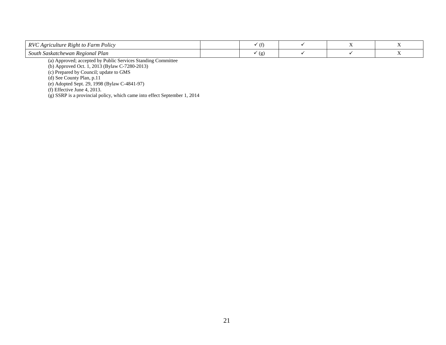| DVI<br>Policy<br>Kight<br>r arm<br><i>cultur</i><br>† to          |  |  |  |
|-------------------------------------------------------------------|--|--|--|
| Plan<br>$\mathbf{r}$<br>Nouth.<br><b>Regional</b><br>Saskatchewan |  |  |  |

(a) Approved; accepted by Public Services Standing Committee

(b) Approved Oct. 1, 2013 (Bylaw C-7280-2013)

(c) Prepared by Council; update to GMS

(d) See County Plan, p.11

(e) Adopted Sept. 29, 1998 (Bylaw C-4841-97)

(f) Effective June 4, 2013.

(g) SSRP is a provincial policy, which came into effect September 1, 2014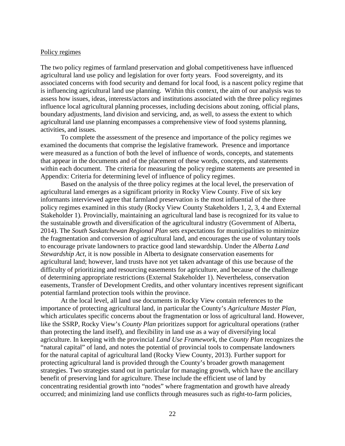#### Policy regimes

The two policy regimes of farmland preservation and global competitiveness have influenced agricultural land use policy and legislation for over forty years. Food sovereignty, and its associated concerns with food security and demand for local food, is a nascent policy regime that is influencing agricultural land use planning. Within this context, the aim of our analysis was to assess how issues, ideas, interests/actors and institutions associated with the three policy regimes influence local agricultural planning processes, including decisions about zoning, official plans, boundary adjustments, land division and servicing, and, as well, to assess the extent to which agricultural land use planning encompasses a comprehensive view of food systems planning, activities, and issues.

To complete the assessment of the presence and importance of the policy regimes we examined the documents that comprise the legislative framework. Presence and importance were measured as a function of both the level of influence of words, concepts, and statements that appear in the documents and of the placement of these words, concepts, and statements within each document. The criteria for measuring the policy regime statements are presented in Appendix: Criteria for determining level of influence of policy regimes.

Based on the analysis of the three policy regimes at the local level, the preservation of agricultural land emerges as a significant priority in Rocky View County. Five of six key informants interviewed agree that farmland preservation is the most influential of the three policy regimes examined in this study (Rocky View County Stakeholders 1, 2, 3, 4 and External Stakeholder 1). Provincially, maintaining an agricultural land base is recognized for its value to the sustainable growth and diversification of the agricultural industry (Government of Alberta, 2014). The *South Saskatchewan Regional Plan* sets expectations for municipalities to minimize the fragmentation and conversion of agricultural land, and encourages the use of voluntary tools to encourage private landowners to practice good land stewardship. Under the *Alberta Land Stewardship Act*, it is now possible in Alberta to designate conservation easements for agricultural land; however, land trusts have not yet taken advantage of this use because of the difficulty of prioritizing and resourcing easements for agriculture, and because of the challenge of determining appropriate restrictions (External Stakeholder 1). Nevertheless, conservation easements, Transfer of Development Credits, and other voluntary incentives represent significant potential farmland protection tools within the province.

At the local level, all land use documents in Rocky View contain references to the importance of protecting agricultural land, in particular the County's *Agriculture Master Plan*, which articulates specific concerns about the fragmentation or loss of agricultural land. However, like the SSRP, Rocky View's *County Plan* prioritizes support for agricultural operations (rather than protecting the land itself), and flexibility in land use as a way of diversifying local agriculture. In keeping with the provincial *Land Use Framework*, the *County Plan* recognizes the "natural capital" of land, and notes the potential of provincial tools to compensate landowners for the natural capital of agricultural land (Rocky View County, 2013). Further support for protecting agricultural land is provided through the County's broader growth management strategies. Two strategies stand out in particular for managing growth, which have the ancillary benefit of preserving land for agriculture. These include the efficient use of land by concentrating residential growth into "nodes" where fragmentation and growth have already occurred; and minimizing land use conflicts through measures such as right-to-farm policies,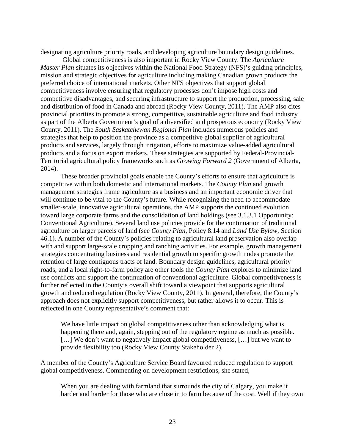designating agriculture priority roads, and developing agriculture boundary design guidelines.

Global competitiveness is also important in Rocky View County. The *Agriculture Master Plan* situates its objectives within the National Food Strategy (NFS)'s guiding principles, mission and strategic objectives for agriculture including making Canadian grown products the preferred choice of international markets. Other NFS objectives that support global competitiveness involve ensuring that regulatory processes don't impose high costs and competitive disadvantages, and securing infrastructure to support the production, processing, sale and distribution of food in Canada and abroad (Rocky View County, 2011). The AMP also cites provincial priorities to promote a strong, competitive, sustainable agriculture and food industry as part of the Alberta Government's goal of a diversified and prosperous economy (Rocky View County, 2011). The *South Saskatchewan Regional Plan* includes numerous policies and strategies that help to position the province as a competitive global supplier of agricultural products and services, largely through irrigation, efforts to maximize value-added agricultural products and a focus on export markets. These strategies are supported by Federal-Provincial-Territorial agricultural policy frameworks such as *Growing Forward 2* (Government of Alberta, 2014).

These broader provincial goals enable the County's efforts to ensure that agriculture is competitive within both domestic and international markets. The *County Plan* and growth management strategies frame agriculture as a business and an important economic driver that will continue to be vital to the County's future. While recognizing the need to accommodate smaller-scale, innovative agricultural operations, the AMP supports the continued evolution toward large corporate farms and the consolidation of land holdings (see 3.1.3.1 Opportunity: Conventional Agriculture). Several land use policies provide for the continuation of traditional agriculture on larger parcels of land (see *County Plan*, Policy 8.14 and *Land Use Bylaw*, Section 46.1). A number of the County's policies relating to agricultural land preservation also overlap with and support large-scale cropping and ranching activities. For example, growth management strategies concentrating business and residential growth to specific growth nodes promote the retention of large contiguous tracts of land. Boundary design guidelines, agricultural priority roads, and a local right-to-farm policy are other tools the *County Plan* explores to minimize land use conflicts and support the continuation of conventional agriculture. Global competitiveness is further reflected in the County's overall shift toward a viewpoint that supports agricultural growth and reduced regulation (Rocky View County, 2011). In general, therefore, the County's approach does not explicitly support competitiveness, but rather allows it to occur. This is reflected in one County representative's comment that:

We have little impact on global competitiveness other than acknowledging what is happening there and, again, stepping out of the regulatory regime as much as possible. [...] We don't want to negatively impact global competitiveness, [...] but we want to provide flexibility too (Rocky View County Stakeholder 2).

A member of the County's Agriculture Service Board favoured reduced regulation to support global competitiveness. Commenting on development restrictions, she stated,

When you are dealing with farmland that surrounds the city of Calgary, you make it harder and harder for those who are close in to farm because of the cost. Well if they own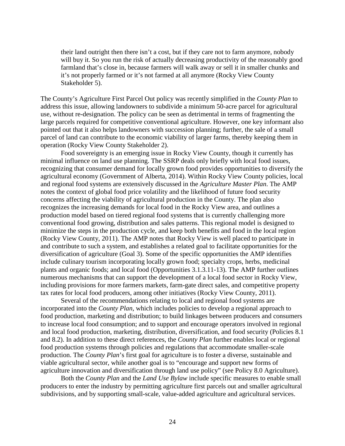their land outright then there isn't a cost, but if they care not to farm anymore, nobody will buy it. So you run the risk of actually decreasing productivity of the reasonably good farmland that's close in, because farmers will walk away or sell it in smaller chunks and it's not properly farmed or it's not farmed at all anymore (Rocky View County Stakeholder 5).

The County's Agriculture First Parcel Out policy was recently simplified in the *County Plan* to address this issue, allowing landowners to subdivide a minimum 50-acre parcel for agricultural use, without re-designation. The policy can be seen as detrimental in terms of fragmenting the large parcels required for competitive conventional agriculture. However, one key informant also pointed out that it also helps landowners with succession planning; further, the sale of a small parcel of land can contribute to the economic viability of larger farms, thereby keeping them in operation (Rocky View County Stakeholder 2).

Food sovereignty is an emerging issue in Rocky View County, though it currently has minimal influence on land use planning. The SSRP deals only briefly with local food issues, recognizing that consumer demand for locally grown food provides opportunities to diversify the agricultural economy (Government of Alberta, 2014). Within Rocky View County policies, local and regional food systems are extensively discussed in the *Agriculture Master Plan*. The AMP notes the context of global food price volatility and the likelihood of future food security concerns affecting the viability of agricultural production in the County. The plan also recognizes the increasing demands for local food in the Rocky View area, and outlines a production model based on tiered regional food systems that is currently challenging more conventional food growing, distribution and sales patterns. This regional model is designed to minimize the steps in the production cycle, and keep both benefits and food in the local region (Rocky View County, 2011). The AMP notes that Rocky View is well placed to participate in and contribute to such a system, and establishes a related goal to facilitate opportunities for the diversification of agriculture (Goal 3). Some of the specific opportunities the AMP identifies include culinary tourism incorporating locally grown food; specialty crops, herbs, medicinal plants and organic foods; and local food (Opportunities 3.1.3.11-13). The AMP further outlines numerous mechanisms that can support the development of a local food sector in Rocky View, including provisions for more farmers markets, farm-gate direct sales, and competitive property tax rates for local food producers, among other initiatives (Rocky View County, 2011).

Several of the recommendations relating to local and regional food systems are incorporated into the *County Plan*, which includes policies to develop a regional approach to food production, marketing and distribution; to build linkages between producers and consumers to increase local food consumption; and to support and encourage operators involved in regional and local food production, marketing, distribution, diversification, and food security (Policies 8.1 and 8.2). In addition to these direct references, the *County Plan* further enables local or regional food production systems through policies and regulations that accommodate smaller-scale production. The *County Plan*'s first goal for agriculture is to foster a diverse, sustainable and viable agricultural sector, while another goal is to "encourage and support new forms of agriculture innovation and diversification through land use policy" (see Policy 8.0 Agriculture).

Both the *County Plan* and the *Land Use Bylaw* include specific measures to enable small producers to enter the industry by permitting agriculture first parcels out and smaller agricultural subdivisions, and by supporting small-scale, value-added agriculture and agricultural services.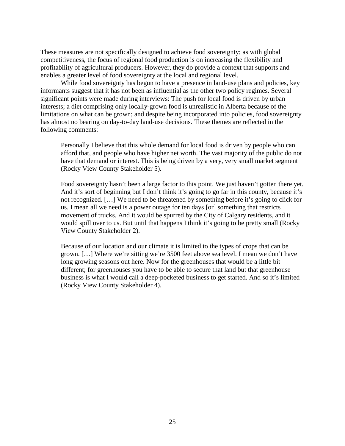These measures are not specifically designed to achieve food sovereignty; as with global competitiveness, the focus of regional food production is on increasing the flexibility and profitability of agricultural producers. However, they do provide a context that supports and enables a greater level of food sovereignty at the local and regional level.

While food sovereignty has begun to have a presence in land-use plans and policies, key informants suggest that it has not been as influential as the other two policy regimes. Several significant points were made during interviews: The push for local food is driven by urban interests; a diet comprising only locally-grown food is unrealistic in Alberta because of the limitations on what can be grown; and despite being incorporated into policies, food sovereignty has almost no bearing on day-to-day land-use decisions. These themes are reflected in the following comments:

Personally I believe that this whole demand for local food is driven by people who can afford that, and people who have higher net worth. The vast majority of the public do not have that demand or interest. This is being driven by a very, very small market segment (Rocky View County Stakeholder 5).

Food sovereignty hasn't been a large factor to this point. We just haven't gotten there yet. And it's sort of beginning but I don't think it's going to go far in this county, because it's not recognized. […] We need to be threatened by something before it's going to click for us. I mean all we need is a power outage for ten days [or] something that restricts movement of trucks. And it would be spurred by the City of Calgary residents, and it would spill over to us. But until that happens I think it's going to be pretty small (Rocky View County Stakeholder 2).

Because of our location and our climate it is limited to the types of crops that can be grown. […] Where we're sitting we're 3500 feet above sea level. I mean we don't have long growing seasons out here. Now for the greenhouses that would be a little bit different; for greenhouses you have to be able to secure that land but that greenhouse business is what I would call a deep-pocketed business to get started. And so it's limited (Rocky View County Stakeholder 4).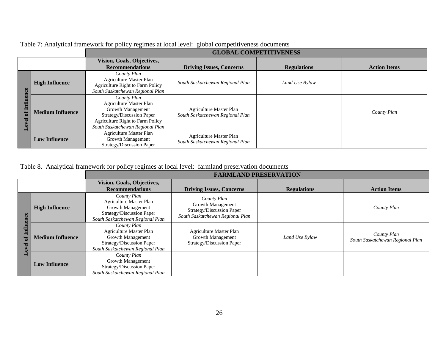|                                               |                         | <b>GLOBAL COMPETITIVENESS</b>                                                                                                                                           |                                                                    |                    |                     |  |  |  |  |
|-----------------------------------------------|-------------------------|-------------------------------------------------------------------------------------------------------------------------------------------------------------------------|--------------------------------------------------------------------|--------------------|---------------------|--|--|--|--|
|                                               |                         | Vision, Goals, Objectives,                                                                                                                                              |                                                                    |                    |                     |  |  |  |  |
|                                               |                         | <b>Recommendations</b>                                                                                                                                                  | <b>Driving Issues, Concerns</b>                                    | <b>Regulations</b> | <b>Action Items</b> |  |  |  |  |
| e<br>Ē<br>$\mathbf{I}$<br>$\mathbf{d}$<br>ye. | <b>High Influence</b>   | County Plan<br><b>Agriculture Master Plan</b><br>Agriculture Right to Farm Policy<br>South Saskatchewan Regional Plan                                                   | South Saskatchewan Regional Plan                                   | Land Use Bylaw     |                     |  |  |  |  |
|                                               | <b>Medium Influence</b> | County Plan<br><b>Agriculture Master Plan</b><br>Growth Management<br>Strategy/Discussion Paper<br>Agriculture Right to Farm Policy<br>South Saskatchewan Regional Plan | <b>Agriculture Master Plan</b><br>South Saskatchewan Regional Plan |                    | County Plan         |  |  |  |  |
|                                               | <b>Low Influence</b>    | Agriculture Master Plan<br>Growth Management<br>Strategy/Discussion Paper                                                                                               | <b>Agriculture Master Plan</b><br>South Saskatchewan Regional Plan |                    |                     |  |  |  |  |

Table 7: Analytical framework for policy regimes at local level: global competitiveness documents

## Table 8. Analytical framework for policy regimes at local level: farmland preservation documents

|                         |                         | <b>FARMLAND PRESERVATION</b>                                                                                                        |                                                                                                   |                    |                                                 |  |  |  |  |
|-------------------------|-------------------------|-------------------------------------------------------------------------------------------------------------------------------------|---------------------------------------------------------------------------------------------------|--------------------|-------------------------------------------------|--|--|--|--|
|                         |                         | Vision, Goals, Objectives,<br><b>Recommendations</b>                                                                                | <b>Driving Issues, Concerns</b>                                                                   | <b>Regulations</b> | <b>Action Items</b>                             |  |  |  |  |
| <b>e</b><br><b>Infl</b> | <b>High Influence</b>   | County Plan<br><b>Agriculture Master Plan</b><br>Growth Management<br>Strategy/Discussion Paper<br>South Saskatchewan Regional Plan | County Plan<br>Growth Management<br>Strategy/Discussion Paper<br>South Saskatchewan Regional Plan |                    | County Plan                                     |  |  |  |  |
|                         | <b>Medium Influence</b> | County Plan<br><b>Agriculture Master Plan</b><br>Growth Management<br>Strategy/Discussion Paper<br>South Saskatchewan Regional Plan | <b>Agriculture Master Plan</b><br>Growth Management<br>Strategy/Discussion Paper                  | Land Use Bylaw     | County Plan<br>South Saskatchewan Regional Plan |  |  |  |  |
|                         | <b>Low Influence</b>    | County Plan<br>Growth Management<br>Strategy/Discussion Paper<br>South Saskatchewan Regional Plan                                   |                                                                                                   |                    |                                                 |  |  |  |  |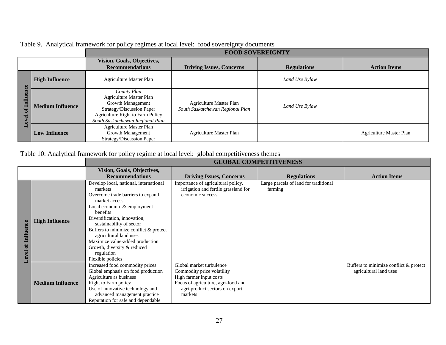|   |                         | <b>FOOD SOVEREIGNTY</b>                                                                                                                                          |                                                                    |                    |                                |  |  |  |  |
|---|-------------------------|------------------------------------------------------------------------------------------------------------------------------------------------------------------|--------------------------------------------------------------------|--------------------|--------------------------------|--|--|--|--|
|   |                         | Vision, Goals, Objectives,<br><b>Recommendations</b>                                                                                                             | <b>Driving Issues, Concerns</b>                                    | <b>Regulations</b> | <b>Action Items</b>            |  |  |  |  |
| 틸 | <b>High Influence</b>   | <b>Agriculture Master Plan</b>                                                                                                                                   |                                                                    | Land Use Bylaw     |                                |  |  |  |  |
|   | <b>Medium Influence</b> | County Plan<br>Agriculture Master Plan<br>Growth Management<br>Strategy/Discussion Paper<br>Agriculture Right to Farm Policy<br>South Saskatchewan Regional Plan | <b>Agriculture Master Plan</b><br>South Saskatchewan Regional Plan | Land Use Bylaw     |                                |  |  |  |  |
|   | <b>Low Influence</b>    | <b>Agriculture Master Plan</b><br>Growth Management<br>Strategy/Discussion Paper                                                                                 | <b>Agriculture Master Plan</b>                                     |                    | <b>Agriculture Master Plan</b> |  |  |  |  |

Table 9. Analytical framework for policy regimes at local level: food sovereignty documents

## Table 10: Analytical framework for policy regime at local level: global competitiveness themes

|                         |                         | <b>GLOBAL COMPETITIVENESS</b>                                                                                                                                                                                                                                                                                                                                                             |                                                                                                                                                                       |                                                  |                                                                  |  |
|-------------------------|-------------------------|-------------------------------------------------------------------------------------------------------------------------------------------------------------------------------------------------------------------------------------------------------------------------------------------------------------------------------------------------------------------------------------------|-----------------------------------------------------------------------------------------------------------------------------------------------------------------------|--------------------------------------------------|------------------------------------------------------------------|--|
|                         |                         | Vision, Goals, Objectives,<br><b>Recommendations</b>                                                                                                                                                                                                                                                                                                                                      | <b>Driving Issues, Concerns</b>                                                                                                                                       | <b>Regulations</b>                               | <b>Action Items</b>                                              |  |
| ence<br>of Infl<br>evel | <b>High Influence</b>   | Develop local, national, international<br>markets<br>Overcome trade barriers to expand<br>market access<br>Local economic & employment<br>benefits<br>Diversification, innovation,<br>sustainability of sector<br>Buffers to minimize conflict $&$ protect<br>agricultural land uses<br>Maximize value-added production<br>Growth, diversity & reduced<br>regulation<br>Flexible policies | Importance of agricultural policy,<br>irrigation and fertile grassland for<br>economic success                                                                        | Large parcels of land for traditional<br>farming |                                                                  |  |
|                         | <b>Medium Influence</b> | Increased food commodity prices<br>Global emphasis on food production<br>Agriculture as business<br>Right to Farm policy<br>Use of innovative technology and<br>advanced management practice<br>Reputation for safe and dependable                                                                                                                                                        | Global market turbulence<br>Commodity price volatility<br>High farmer input costs<br>Focus of agriculture, agri-food and<br>agri-product sectors on export<br>markets |                                                  | Buffers to minimize conflict & protect<br>agricultural land uses |  |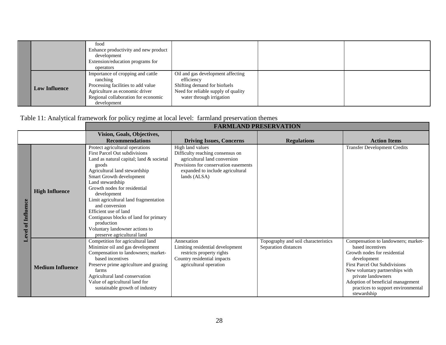|                      | food<br>Enhance productivity and new product<br>development<br>Extension/education programs for<br>operators                                                                |                                                                                                                                                    |  |
|----------------------|-----------------------------------------------------------------------------------------------------------------------------------------------------------------------------|----------------------------------------------------------------------------------------------------------------------------------------------------|--|
| <b>Low Influence</b> | Importance of cropping and cattle<br>ranching<br>Processing facilities to add value<br>Agriculture as economic driver<br>Regional collaboration for economic<br>development | Oil and gas development affecting<br>efficiency<br>Shifting demand for biofuels<br>Need for reliable supply of quality<br>water through irrigation |  |

| Table 11: Analytical framework for policy regime at local level: farmland preservation themes |  |  |  |
|-----------------------------------------------------------------------------------------------|--|--|--|
|                                                                                               |  |  |  |

|                       |                         | <b>FARMLAND PRESERVATION</b>                                                                                                                                                                                                                                                                                                                                                                                                                                            |                                                                                                                                                                                   |                                                             |                                                                                                                                                                                                                                                                                                   |
|-----------------------|-------------------------|-------------------------------------------------------------------------------------------------------------------------------------------------------------------------------------------------------------------------------------------------------------------------------------------------------------------------------------------------------------------------------------------------------------------------------------------------------------------------|-----------------------------------------------------------------------------------------------------------------------------------------------------------------------------------|-------------------------------------------------------------|---------------------------------------------------------------------------------------------------------------------------------------------------------------------------------------------------------------------------------------------------------------------------------------------------|
|                       |                         | Vision, Goals, Objectives,<br><b>Recommendations</b>                                                                                                                                                                                                                                                                                                                                                                                                                    | <b>Driving Issues, Concerns</b>                                                                                                                                                   | <b>Regulations</b>                                          | <b>Action Items</b>                                                                                                                                                                                                                                                                               |
| of Influence<br>Level | <b>High Influence</b>   | Protect agricultural operations<br><b>First Parcel Out subdivisions</b><br>Land as natural capital; land & societal<br>goods<br>Agricultural land stewardship<br>Smart Growth development<br>Land stewardship<br>Growth nodes for residential<br>development<br>Limit agricultural land fragmentation<br>and conversion<br>Efficient use of land<br>Contiguous blocks of land for primary<br>production<br>Voluntary landowner actions to<br>preserve agricultural land | High land values<br>Difficulty reaching consensus on<br>agricultural land conversion<br>Provisions for conservation easements<br>expanded to include agricultural<br>lands (ALSA) |                                                             | <b>Transfer Development Credits</b>                                                                                                                                                                                                                                                               |
|                       | <b>Medium Influence</b> | Competition for agricultural land<br>Minimize oil and gas development<br>Compensation to landowners; market-<br>based incentives<br>Preserve prime agriculture and grazing<br>farms<br>Agricultural land conservation<br>Value of agricultural land for<br>sustainable growth of industry                                                                                                                                                                               | Annexation<br>Limiting residential development<br>restricts property rights<br>Country residential impacts<br>agricultural operation                                              | Topography and soil characteristics<br>Separation distances | Compensation to landowners; market-<br>based incentives<br>Growth nodes for residential<br>development<br><b>First Parcel Out Subdivisions</b><br>New voluntary partnerships with<br>private landowners<br>Adoption of beneficial management<br>practices to support environmental<br>stewardship |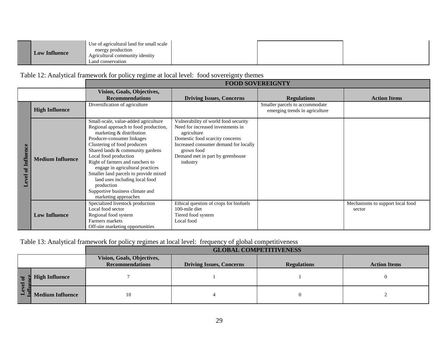| <b>Low Influence</b> | Use of agricultural land for small scale<br>energy production<br>Agricultural community identity<br>Land conservation |  |  |  |
|----------------------|-----------------------------------------------------------------------------------------------------------------------|--|--|--|
|----------------------|-----------------------------------------------------------------------------------------------------------------------|--|--|--|

Table 12: Analytical framework for policy regime at local level: food sovereignty themes

|                           |                         | <b>FOOD SOVEREIGNTY</b>                                                                                                                                                                                                                                                                                                                                                                                                                                          |                                                                                                                                                                                                                                    |                                                                  |                                            |  |
|---------------------------|-------------------------|------------------------------------------------------------------------------------------------------------------------------------------------------------------------------------------------------------------------------------------------------------------------------------------------------------------------------------------------------------------------------------------------------------------------------------------------------------------|------------------------------------------------------------------------------------------------------------------------------------------------------------------------------------------------------------------------------------|------------------------------------------------------------------|--------------------------------------------|--|
|                           |                         | Vision, Goals, Objectives,<br><b>Recommendations</b>                                                                                                                                                                                                                                                                                                                                                                                                             | <b>Driving Issues, Concerns</b>                                                                                                                                                                                                    | <b>Regulations</b>                                               | <b>Action Items</b>                        |  |
|                           | <b>High Influence</b>   | Diversification of agriculture                                                                                                                                                                                                                                                                                                                                                                                                                                   |                                                                                                                                                                                                                                    | Smaller parcels to accommodate<br>emerging trends in agriculture |                                            |  |
| <b>Level of Influence</b> | <b>Medium Influence</b> | Small-scale, value-added agriculture<br>Regional approach to food production,<br>marketing & distribution<br>Producer-consumer linkages<br>Clustering of food producers<br>Shared lands & community gardens<br>Local food production<br>Right of farmers and ranchers to<br>engage in agricultural practices<br>Smaller land parcels to provide mixed<br>land uses including local food<br>production<br>Supportive business climate and<br>marketing approaches | Vulnerability of world food security<br>Need for increased investments in<br>agriculture<br>Domestic food scarcity concerns<br>Increased consumer demand for locally<br>grown food<br>Demand met in part by greenhouse<br>industry |                                                                  |                                            |  |
|                           | <b>Low Influence</b>    | Specialized livestock production<br>Local food sector<br>Regional food system<br>Farmers markets<br>Off-site marketing opportunities                                                                                                                                                                                                                                                                                                                             | Ethical question of crops for biofuels<br>100-mile diet<br>Tiered food system<br>Local food                                                                                                                                        |                                                                  | Mechanisms to support local food<br>sector |  |

Table 13: Analytical framework for policy regimes at local level: frequency of global competitiveness

|                                 |                         | ╴<br><b>GLOBAL COMPETITIVENESS</b>                   |                                 |                    |                     |  |  |
|---------------------------------|-------------------------|------------------------------------------------------|---------------------------------|--------------------|---------------------|--|--|
|                                 |                         | Vision, Goals, Objectives,<br><b>Recommendations</b> | <b>Driving Issues, Concerns</b> | <b>Regulations</b> | <b>Action Items</b> |  |  |
| $\overline{\text{el of }}$<br>ு | <b>High Influence</b>   |                                                      |                                 |                    |                     |  |  |
|                                 | <b>Medium Influence</b> | 10                                                   |                                 |                    |                     |  |  |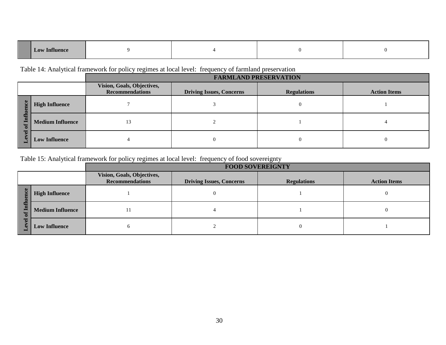| Low Influence |  |  |
|---------------|--|--|
|               |  |  |

Table 14: Analytical framework for policy regimes at local level: frequency of farmland preservation

|                                               |                         | <u>ل</u><br><b>FARMLAND PRESERVATION</b>             |                                 |                    |                     |  |  |
|-----------------------------------------------|-------------------------|------------------------------------------------------|---------------------------------|--------------------|---------------------|--|--|
|                                               |                         | Vision, Goals, Objectives,<br><b>Recommendations</b> | <b>Driving Issues, Concerns</b> | <b>Regulations</b> | <b>Action Items</b> |  |  |
| $\omega$<br>$\mathbf{e}$<br>ᄇ<br>$\mathbf{F}$ | <b>High Influence</b>   |                                                      |                                 |                    |                     |  |  |
|                                               | <b>Medium Influence</b> | 13                                                   |                                 |                    |                     |  |  |
|                                               | <b>Low Influence</b>    |                                                      |                                 |                    | 0                   |  |  |

Table 15: Analytical framework for policy regimes at local level: frequency of food sovereignty

|                                                   |                         | <b>FOOD SOVEREIGNTY</b>                              |                                 |                    |                     |  |  |
|---------------------------------------------------|-------------------------|------------------------------------------------------|---------------------------------|--------------------|---------------------|--|--|
|                                                   |                         | Vision, Goals, Objectives,<br><b>Recommendations</b> | <b>Driving Issues, Concerns</b> | <b>Regulations</b> | <b>Action Items</b> |  |  |
| ence<br>昌<br>$\sim$<br>$\overline{a}$<br>$\omega$ | <b>High Influence</b>   |                                                      |                                 |                    |                     |  |  |
|                                                   | <b>Medium Influence</b> |                                                      |                                 |                    |                     |  |  |
|                                                   | <b>Low Influence</b>    |                                                      |                                 |                    |                     |  |  |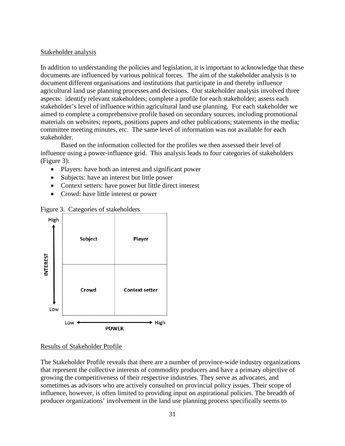## Stakeholder analysis

In addition to understanding the policies and legislation, it is important to acknowledge that these documents are influenced by various political forces. The aim of the stakeholder analysis is to document different organisations and institutions that participate in and thereby influence agricultural land use planning processes and decisions. Our stakeholder analysis involved three aspects: identify relevant stakeholders; complete a profile for each stakeholder; assess each stakeholder's level of influence within agricultural land use planning. For each stakeholder we aimed to complete a comprehensive profile based on secondary sources, including promotional materials on websites; reports, positions papers and other publications; statements in the media; committee meeting minutes, etc. The same level of information was not available for each stakeholder.

Based on the information collected for the profiles we then assessed their level of influence using a power-influence grid. This analysis leads to four categories of stakeholders (Figure 3):

- Players: have both an interest and significant power
- Subjects: have an interest but little power
- Context setters: have power but little direct interest
- Crowd: have little interest or power



### Figure 3. Categories of stakeholders

## Results of Stakeholder Profile

The Stakeholder Profile reveals that there are a number of province-wide industry organizations that represent the collective interests of commodity producers and have a primary objective of growing the competitiveness of their respective industries. They serve as advocates, and sometimes as advisors who are actively consulted on provincial policy issues. Their scope of influence, however, is often limited to providing input on aspirational policies. The breadth of producer organizations' involvement in the land use planning process specifically seems to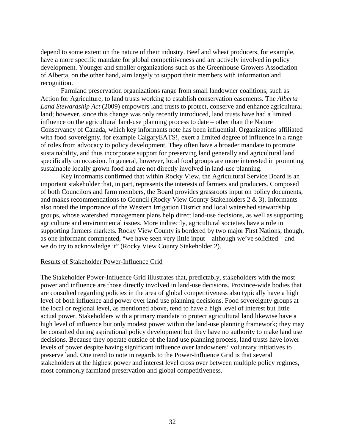depend to some extent on the nature of their industry. Beef and wheat producers, for example, have a more specific mandate for global competitiveness and are actively involved in policy development. Younger and smaller organizations such as the Greenhouse Growers Association of Alberta, on the other hand, aim largely to support their members with information and recognition.

 Farmland preservation organizations range from small landowner coalitions, such as Action for Agriculture, to land trusts working to establish conservation easements. The *Alberta Land Stewardship Act* (2009) empowers land trusts to protect, conserve and enhance agricultural land; however, since this change was only recently introduced, land trusts have had a limited influence on the agricultural land-use planning process to date – other than the Nature Conservancy of Canada, which key informants note has been influential. Organizations affiliated with food sovereignty, for example CalgaryEATS!, exert a limited degree of influence in a range of roles from advocacy to policy development. They often have a broader mandate to promote sustainability, and thus incorporate support for preserving land generally and agricultural land specifically on occasion. In general, however, local food groups are more interested in promoting sustainable locally grown food and are not directly involved in land-use planning.

 Key informants confirmed that within Rocky View, the Agricultural Service Board is an important stakeholder that, in part, represents the interests of farmers and producers. Composed of both Councilors and farm members, the Board provides grassroots input on policy documents, and makes recommendations to Council (Rocky View County Stakeholders 2 & 3). Informants also noted the importance of the Western Irrigation District and local watershed stewardship groups, whose watershed management plans help direct land-use decisions, as well as supporting agriculture and environmental issues. More indirectly, agricultural societies have a role in supporting farmers markets. Rocky View County is bordered by two major First Nations, though, as one informant commented, "we have seen very little input – although we've solicited – and we do try to acknowledge it" (Rocky View County Stakeholder 2).

### Results of Stakeholder Power-Influence Grid

The Stakeholder Power-Influence Grid illustrates that, predictably, stakeholders with the most power and influence are those directly involved in land-use decisions. Province-wide bodies that are consulted regarding policies in the area of global competitiveness also typically have a high level of both influence and power over land use planning decisions. Food sovereignty groups at the local or regional level, as mentioned above, tend to have a high level of interest but little actual power. Stakeholders with a primary mandate to protect agricultural land likewise have a high level of influence but only modest power within the land-use planning framework; they may be consulted during aspirational policy development but they have no authority to make land use decisions. Because they operate outside of the land use planning process, land trusts have lower levels of power despite having significant influence over landowners' voluntary initiatives to preserve land. One trend to note in regards to the Power-Influence Grid is that several stakeholders at the highest power and interest level cross over between multiple policy regimes, most commonly farmland preservation and global competitiveness.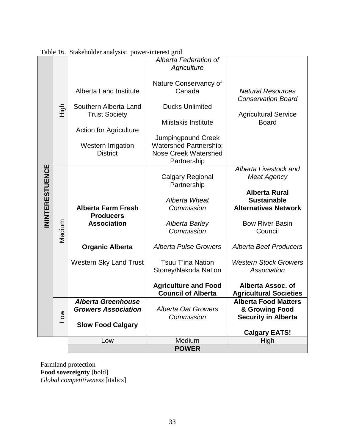|                        |            | Table 16. Stakeholder analysis: power-interest grid                            |                                                                                                   |                                                                                                      |
|------------------------|------------|--------------------------------------------------------------------------------|---------------------------------------------------------------------------------------------------|------------------------------------------------------------------------------------------------------|
|                        |            |                                                                                | Alberta Federation of<br>Agriculture                                                              |                                                                                                      |
|                        | High       | <b>Alberta Land Institute</b><br>Southern Alberta Land<br><b>Trust Society</b> | Nature Conservancy of<br>Canada<br><b>Ducks Unlimited</b><br>Miistakis Institute                  | <b>Natural Resources</b><br><b>Conservation Board</b><br><b>Agricultural Service</b><br><b>Board</b> |
|                        |            | <b>Action for Agriculture</b><br><b>Western Irrigation</b><br><b>District</b>  | Jumpingpound Creek<br><b>Watershed Partnership;</b><br><b>Nose Creek Watershed</b><br>Partnership |                                                                                                      |
|                        |            |                                                                                | <b>Calgary Regional</b><br>Partnership                                                            | Alberta Livestock and<br><b>Meat Agency</b>                                                          |
| <b>ININTERESTUENCE</b> |            | <b>Alberta Farm Fresh</b><br><b>Producers</b>                                  | Alberta Wheat<br>Commission                                                                       | <b>Alberta Rural</b><br><b>Sustainable</b><br><b>Alternatives Network</b>                            |
|                        | Medium     | <b>Association</b>                                                             | <b>Alberta Barley</b><br>Commission                                                               | <b>Bow River Basin</b><br>Council                                                                    |
|                        |            | <b>Organic Alberta</b>                                                         | <b>Alberta Pulse Growers</b>                                                                      | <b>Alberta Beef Producers</b>                                                                        |
|                        |            | <b>Western Sky Land Trust</b>                                                  | <b>Tsuu T'ina Nation</b><br>Stoney/Nakoda Nation                                                  | <b>Western Stock Growers</b><br>Association                                                          |
|                        |            |                                                                                | <b>Agriculture and Food</b><br><b>Council of Alberta</b>                                          | Alberta Assoc. of<br><b>Agricultural Societies</b>                                                   |
|                        | <b>NOT</b> | <b>Alberta Greenhouse</b><br><b>Growers Association</b>                        | <b>Alberta Oat Growers</b><br>Commission                                                          | <b>Alberta Food Matters</b><br>& Growing Food<br><b>Security in Alberta</b>                          |
|                        |            | <b>Slow Food Calgary</b>                                                       |                                                                                                   | <b>Calgary EATS!</b>                                                                                 |
|                        |            | Low                                                                            | Medium                                                                                            | High                                                                                                 |
|                        |            |                                                                                | <b>POWER</b>                                                                                      |                                                                                                      |
|                        |            |                                                                                |                                                                                                   |                                                                                                      |

Table 16. Stakeholder analysis: power-interest grid

Farmland protection **Food sovereignty** [bold] *Global competitiveness* [italics]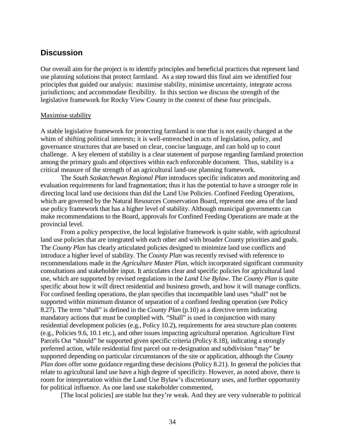## **Discussion**

Our overall aim for the project is to identify principles and beneficial practices that represent land use planning solutions that protect farmland. As a step toward this final aim we identified four principles that guided our analysis: maximise stability, minimise uncertainty, integrate across jurisdictions; and accommodate flexibility. In this section we discuss the strength of the legislative framework for Rocky View County in the context of these four principals.

#### Maximise stability

A stable legislative framework for protecting farmland is one that is not easily changed at the whim of shifting political interests; it is well-entrenched in acts of legislation, policy, and governance structures that are based on clear, concise language, and can hold up to court challenge. A key element of stability is a clear statement of purpose regarding farmland protection among the primary goals and objectives within each enforceable document. Thus, stability is a critical measure of the strength of an agricultural land-use planning framework.

The *South Saskatchewan Regional Plan* introduces specific indicators and monitoring and evaluation requirements for land fragmentation; thus it has the potential to have a stronger role in directing local land use decisions than did the Land Use Policies. Confined Feeding Operations, which are governed by the Natural Resources Conservation Board, represent one area of the land use policy framework that has a higher level of stability. Although municipal governments can make recommendations to the Board, approvals for Confined Feeding Operations are made at the provincial level.

From a policy perspective, the local legislative framework is quite stable, with agricultural land use policies that are integrated with each other and with broader County priorities and goals. The *County Plan* has clearly articulated policies designed to minimize land use conflicts and introduce a higher level of stability. The *County Plan* was recently revised with reference to recommendations made in the *Agriculture Master Plan*, which incorporated significant community consultations and stakeholder input. It articulates clear and specific policies for agricultural land use, which are supported by revised regulations in the *Land Use Bylaw*. The *County Plan* is quite specific about how it will direct residential and business growth, and how it will manage conflicts. For confined feeding operations, the plan specifies that incompatible land uses "shall" not be supported within minimum distance of separation of a confined feeding operation (see Policy 8.27). The term "shall" is defined in the *County Plan* (p.10) as a directive term indicating mandatory actions that must be complied with. "Shall" is used in conjunction with many residential development policies (e.g., Policy 10.2), requirements for area structure plan contents (e.g., Policies 9.6, 10.1 etc.), and other issues impacting agricultural operation. Agriculture First Parcels Out "should" be supported given specific criteria (Policy 8.18), indicating a strongly preferred action, while residential first parcel out re-designation and subdivision "may" be supported depending on particular circumstances of the site or application, although the *County Plan* does offer some guidance regarding these decisions (Policy 8.21). In general the policies that relate to agricultural land use have a high degree of specificity. However, as noted above, there is room for interpretation within the Land Use Bylaw's discretionary uses, and further opportunity for political influence. As one land use stakeholder commented,

[The local policies] are stable but they're weak. And they are very vulnerable to political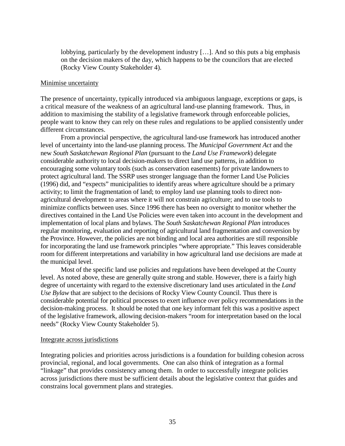lobbying, particularly by the development industry […]. And so this puts a big emphasis on the decision makers of the day, which happens to be the councilors that are elected (Rocky View County Stakeholder 4).

## Minimise uncertainty

The presence of uncertainty, typically introduced via ambiguous language, exceptions or gaps, is a critical measure of the weakness of an agricultural land-use planning framework. Thus, in addition to maximising the stability of a legislative framework through enforceable policies, people want to know they can rely on these rules and regulations to be applied consistently under different circumstances.

From a provincial perspective, the agricultural land-use framework has introduced another level of uncertainty into the land-use planning process. The *Municipal Government Act* and the new *South Saskatchewan Regional Plan* (pursuant to the *Land Use Framework*) delegate considerable authority to local decision-makers to direct land use patterns, in addition to encouraging some voluntary tools (such as conservation easements) for private landowners to protect agricultural land. The SSRP uses stronger language than the former Land Use Policies (1996) did, and "expects" municipalities to identify areas where agriculture should be a primary activity; to limit the fragmentation of land; to employ land use planning tools to direct nonagricultural development to areas where it will not constrain agriculture; and to use tools to minimize conflicts between uses. Since 1996 there has been no oversight to monitor whether the directives contained in the Land Use Policies were even taken into account in the development and implementation of local plans and bylaws. The *South Saskatchewan Regional Plan* introduces regular monitoring, evaluation and reporting of agricultural land fragmentation and conversion by the Province. However, the policies are not binding and local area authorities are still responsible for incorporating the land use framework principles "where appropriate." This leaves considerable room for different interpretations and variability in how agricultural land use decisions are made at the municipal level.

Most of the specific land use policies and regulations have been developed at the County level. As noted above, these are generally quite strong and stable. However, there is a fairly high degree of uncertainty with regard to the extensive discretionary land uses articulated in the *Land Use Bylaw* that are subject to the decisions of Rocky View County Council. Thus there is considerable potential for political processes to exert influence over policy recommendations in the decision-making process. It should be noted that one key informant felt this was a positive aspect of the legislative framework, allowing decision-makers "room for interpretation based on the local needs" (Rocky View County Stakeholder 5).

### Integrate across jurisdictions

Integrating policies and priorities across jurisdictions is a foundation for building cohesion across provincial, regional, and local governments. One can also think of integration as a formal "linkage" that provides consistency among them. In order to successfully integrate policies across jurisdictions there must be sufficient details about the legislative context that guides and constrains local government plans and strategies.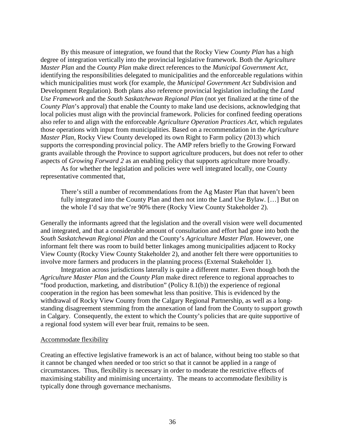By this measure of integration, we found that the Rocky View *County Plan* has a high degree of integration vertically into the provincial legislative framework. Both the *Agriculture Master Plan* and the *County Plan* make direct references to the *Municipal Government Act*, identifying the responsibilities delegated to municipalities and the enforceable regulations within which municipalities must work (for example, the *Municipal Government Act* Subdivision and Development Regulation). Both plans also reference provincial legislation including the *Land Use Framework* and the *South Saskatchewan Regional Plan* (not yet finalized at the time of the *County Plan*'s approval) that enable the County to make land use decisions, acknowledging that local policies must align with the provincial framework. Policies for confined feeding operations also refer to and align with the enforceable *Agriculture Operation Practices Act*, which regulates those operations with input from municipalities. Based on a recommendation in the *Agriculture Master Plan*, Rocky View County developed its own Right to Farm policy (2013) which supports the corresponding provincial policy. The AMP refers briefly to the Growing Forward grants available through the Province to support agriculture producers, but does not refer to other aspects of *Growing Forward 2* as an enabling policy that supports agriculture more broadly.

As for whether the legislation and policies were well integrated locally, one County representative commented that,

There's still a number of recommendations from the Ag Master Plan that haven't been fully integrated into the County Plan and then not into the Land Use Bylaw. […] But on the whole I'd say that we're 90% there (Rocky View County Stakeholder 2).

Generally the informants agreed that the legislation and the overall vision were well documented and integrated, and that a considerable amount of consultation and effort had gone into both the *South Saskatchewan Regional Plan* and the County's *Agriculture Master Plan*. However, one informant felt there was room to build better linkages among municipalities adjacent to Rocky View County (Rocky View County Stakeholder 2), and another felt there were opportunities to involve more farmers and producers in the planning process (External Stakeholder 1).

Integration across jurisdictions laterally is quite a different matter. Even though both the *Agriculture Master Plan* and the *County Plan* make direct reference to regional approaches to "food production, marketing, and distribution" (Policy 8.1(b)) the experience of regional cooperation in the region has been somewhat less than positive. This is evidenced by the withdrawal of Rocky View County from the Calgary Regional Partnership, as well as a longstanding disagreement stemming from the annexation of land from the County to support growth in Calgary. Consequently, the extent to which the County's policies that are quite supportive of a regional food system will ever bear fruit, remains to be seen.

#### Accommodate flexibility

Creating an effective legislative framework is an act of balance, without being too stable so that it cannot be changed when needed or too strict so that it cannot be applied in a range of circumstances. Thus, flexibility is necessary in order to moderate the restrictive effects of maximising stability and minimising uncertainty. The means to accommodate flexibility is typically done through governance mechanisms.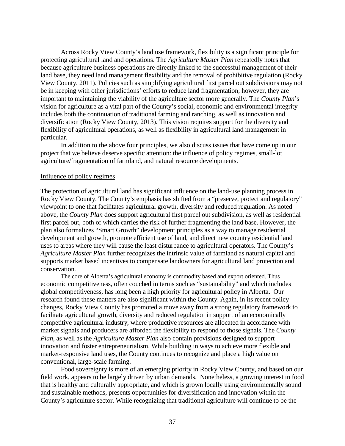Across Rocky View County's land use framework, flexibility is a significant principle for protecting agricultural land and operations. The *Agriculture Master Plan* repeatedly notes that because agriculture business operations are directly linked to the successful management of their land base, they need land management flexibility and the removal of prohibitive regulation (Rocky View County, 2011). Policies such as simplifying agricultural first parcel out subdivisions may not be in keeping with other jurisdictions' efforts to reduce land fragmentation; however, they are important to maintaining the viability of the agriculture sector more generally. The *County Plan*'s vision for agriculture as a vital part of the County's social, economic and environmental integrity includes both the continuation of traditional farming and ranching, as well as innovation and diversification (Rocky View County, 2013). This vision requires support for the diversity and flexibility of agricultural operations, as well as flexibility in agricultural land management in particular.

In addition to the above four principles, we also discuss issues that have come up in our project that we believe deserve specific attention: the influence of policy regimes, small-lot agriculture/fragmentation of farmland, and natural resource developments.

### Influence of policy regimes

The protection of agricultural land has significant influence on the land-use planning process in Rocky View County. The County's emphasis has shifted from a "preserve, protect and regulatory" viewpoint to one that facilitates agricultural growth, diversity and reduced regulation. As noted above, the *County Plan* does support agricultural first parcel out subdivision, as well as residential first parcel out, both of which carries the risk of further fragmenting the land base. However, the plan also formalizes "Smart Growth" development principles as a way to manage residential development and growth, promote efficient use of land, and direct new country residential land uses to areas where they will cause the least disturbance to agricultural operators. The County's *Agriculture Master Plan* further recognizes the intrinsic value of farmland as natural capital and supports market based incentives to compensate landowners for agricultural land protection and conservation.

The core of Alberta's agricultural economy is commodity based and export oriented. Thus economic competitiveness, often couched in terms such as "sustainability" and which includes global competitiveness, has long been a high priority for agricultural policy in Alberta. Our research found these matters are also significant within the County. Again, in its recent policy changes, Rocky View County has promoted a move away from a strong regulatory framework to facilitate agricultural growth, diversity and reduced regulation in support of an economically competitive agricultural industry, where productive resources are allocated in accordance with market signals and producers are afforded the flexibility to respond to those signals. The *County Plan*, as well as the *Agriculture Master Plan* also contain provisions designed to support innovation and foster entrepreneurialism. While building in ways to achieve more flexible and market-responsive land uses, the County continues to recognize and place a high value on conventional, large-scale farming.

Food sovereignty is more of an emerging priority in Rocky View County, and based on our field work, appears to be largely driven by urban demands. Nonetheless, a growing interest in food that is healthy and culturally appropriate, and which is grown locally using environmentally sound and sustainable methods, presents opportunities for diversification and innovation within the County's agriculture sector. While recognizing that traditional agriculture will continue to be the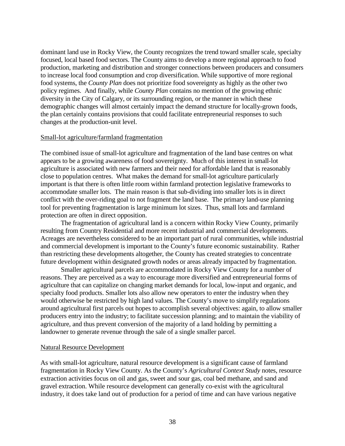dominant land use in Rocky View, the County recognizes the trend toward smaller scale, specialty focused, local based food sectors. The County aims to develop a more regional approach to food production, marketing and distribution and stronger connections between producers and consumers to increase local food consumption and crop diversification. While supportive of more regional food systems, the *County Plan* does not prioritize food sovereignty as highly as the other two policy regimes. And finally, while *County Plan* contains no mention of the growing ethnic diversity in the City of Calgary, or its surrounding region, or the manner in which these demographic changes will almost certainly impact the demand structure for locally-grown foods, the plan certainly contains provisions that could facilitate entrepreneurial responses to such changes at the production-unit level.

## Small-lot agriculture/farmland fragmentation

The combined issue of small-lot agriculture and fragmentation of the land base centres on what appears to be a growing awareness of food sovereignty. Much of this interest in small-lot agriculture is associated with new farmers and their need for affordable land that is reasonably close to population centres. What makes the demand for small-lot agriculture particularly important is that there is often little room within farmland protection legislative frameworks to accommodate smaller lots. The main reason is that sub-dividing into smaller lots is in direct conflict with the over-riding goal to not fragment the land base. The primary land-use planning tool for preventing fragmentation is large minimum lot sizes. Thus, small lots and farmland protection are often in direct opposition.

The fragmentation of agricultural land is a concern within Rocky View County, primarily resulting from Country Residential and more recent industrial and commercial developments. Acreages are nevertheless considered to be an important part of rural communities, while industrial and commercial development is important to the County's future economic sustainability. Rather than restricting these developments altogether, the County has created strategies to concentrate future development within designated growth nodes or areas already impacted by fragmentation.

Smaller agricultural parcels are accommodated in Rocky View County for a number of reasons. They are perceived as a way to encourage more diversified and entrepreneurial forms of agriculture that can capitalize on changing market demands for local, low-input and organic, and specialty food products. Smaller lots also allow new operators to enter the industry when they would otherwise be restricted by high land values. The County's move to simplify regulations around agricultural first parcels out hopes to accomplish several objectives: again, to allow smaller producers entry into the industry; to facilitate succession planning; and to maintain the viability of agriculture, and thus prevent conversion of the majority of a land holding by permitting a landowner to generate revenue through the sale of a single smaller parcel.

## Natural Resource Development

As with small-lot agriculture, natural resource development is a significant cause of farmland fragmentation in Rocky View County. As the County's *Agricultural Context Study* notes, resource extraction activities focus on oil and gas, sweet and sour gas, coal bed methane, and sand and gravel extraction. While resource development can generally co-exist with the agricultural industry, it does take land out of production for a period of time and can have various negative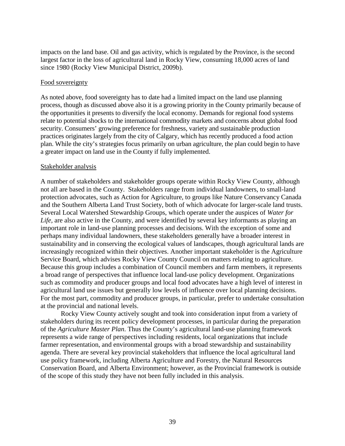impacts on the land base. Oil and gas activity, which is regulated by the Province, is the second largest factor in the loss of agricultural land in Rocky View, consuming 18,000 acres of land since 1980 (Rocky View Municipal District, 2009b).

## Food sovereignty

As noted above, food sovereignty has to date had a limited impact on the land use planning process, though as discussed above also it is a growing priority in the County primarily because of the opportunities it presents to diversify the local economy. Demands for regional food systems relate to potential shocks to the international commodity markets and concerns about global food security. Consumers' growing preference for freshness, variety and sustainable production practices originates largely from the city of Calgary, which has recently produced a food action plan. While the city's strategies focus primarily on urban agriculture, the plan could begin to have a greater impact on land use in the County if fully implemented.

## Stakeholder analysis

A number of stakeholders and stakeholder groups operate within Rocky View County, although not all are based in the County. Stakeholders range from individual landowners, to small-land protection advocates, such as Action for Agriculture, to groups like Nature Conservancy Canada and the Southern Alberta Land Trust Society, both of which advocate for larger-scale land trusts. Several Local Watershed Stewardship Groups, which operate under the auspices of *Water for Life,* are also active in the County, and were identified by several key informants as playing an important role in land-use planning processes and decisions. With the exception of some and perhaps many individual landowners, these stakeholders generally have a broader interest in sustainability and in conserving the ecological values of landscapes, though agricultural lands are increasingly recognized within their objectives. Another important stakeholder is the Agriculture Service Board, which advises Rocky View County Council on matters relating to agriculture. Because this group includes a combination of Council members and farm members, it represents a broad range of perspectives that influence local land-use policy development. Organizations such as commodity and producer groups and local food advocates have a high level of interest in agricultural land use issues but generally low levels of influence over local planning decisions. For the most part, commodity and producer groups, in particular, prefer to undertake consultation at the provincial and national levels.

Rocky View County actively sought and took into consideration input from a variety of stakeholders during its recent policy development processes, in particular during the preparation of the *Agriculture Master Plan*. Thus the County's agricultural land-use planning framework represents a wide range of perspectives including residents, local organizations that include farmer representation, and environmental groups with a broad stewardship and sustainability agenda. There are several key provincial stakeholders that influence the local agricultural land use policy framework, including Alberta Agriculture and Forestry, the Natural Resources Conservation Board, and Alberta Environment; however, as the Provincial framework is outside of the scope of this study they have not been fully included in this analysis.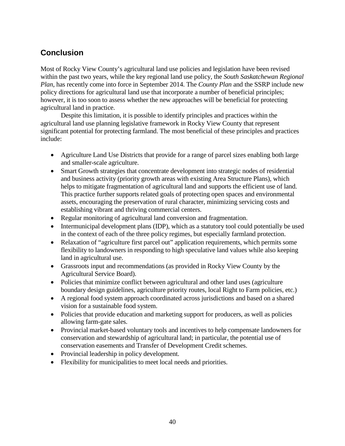## **Conclusion**

Most of Rocky View County's agricultural land use policies and legislation have been revised within the past two years, while the key regional land use policy, the *South Saskatchewan Regional Plan*, has recently come into force in September 2014. The *County Plan* and the SSRP include new policy directions for agricultural land use that incorporate a number of beneficial principles; however, it is too soon to assess whether the new approaches will be beneficial for protecting agricultural land in practice.

Despite this limitation, it is possible to identify principles and practices within the agricultural land use planning legislative framework in Rocky View County that represent significant potential for protecting farmland. The most beneficial of these principles and practices include:

- Agriculture Land Use Districts that provide for a range of parcel sizes enabling both large and smaller-scale agriculture.
- Smart Growth strategies that concentrate development into strategic nodes of residential and business activity (priority growth areas with existing Area Structure Plans), which helps to mitigate fragmentation of agricultural land and supports the efficient use of land. This practice further supports related goals of protecting open spaces and environmental assets, encouraging the preservation of rural character, minimizing servicing costs and establishing vibrant and thriving commercial centers.
- Regular monitoring of agricultural land conversion and fragmentation.
- Intermunicipal development plans (IDP), which as a statutory tool could potentially be used in the context of each of the three policy regimes, but especially farmland protection.
- Relaxation of "agriculture first parcel out" application requirements, which permits some flexibility to landowners in responding to high speculative land values while also keeping land in agricultural use.
- Grassroots input and recommendations (as provided in Rocky View County by the Agricultural Service Board).
- Policies that minimize conflict between agricultural and other land uses (agriculture boundary design guidelines, agriculture priority routes, local Right to Farm policies, etc.)
- A regional food system approach coordinated across jurisdictions and based on a shared vision for a sustainable food system.
- Policies that provide education and marketing support for producers, as well as policies allowing farm-gate sales.
- Provincial market-based voluntary tools and incentives to help compensate landowners for conservation and stewardship of agricultural land; in particular, the potential use of conservation easements and Transfer of Development Credit schemes.
- Provincial leadership in policy development.
- Flexibility for municipalities to meet local needs and priorities.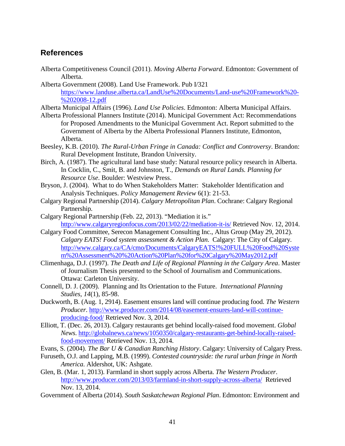## **References**

- Alberta Competitiveness Council (2011). *Moving Alberta Forward*. Edmonton: Government of Alberta.
- Alberta Government (2008). Land Use Framework. Pub I/321 [https://www.landuse.alberta.ca/LandUse%20Documents/Land-use%20Framework%20-](https://www.landuse.alberta.ca/LandUse%20Documents/Land-use%20Framework%20-%202008-12.pdf) [%202008-12.pdf](https://www.landuse.alberta.ca/LandUse%20Documents/Land-use%20Framework%20-%202008-12.pdf)
- Alberta Municipal Affairs (1996). *Land Use Policies*. Edmonton: Alberta Municipal Affairs.
- Alberta Professional Planners Institute (2014). Municipal Government Act: Recommendations for Proposed Amendments to the Municipal Government Act. Report submitted to the Government of Alberta by the Alberta Professional Planners Institute, Edmonton, Alberta.
- Beesley, K.B. (2010). *The Rural-Urban Fringe in Canada: Conflict and Controversy*. Brandon: Rural Development Institute, Brandon University.
- Birch, A. (1987). The agricultural land base study: Natural resource policy research in Alberta. In Cocklin, C., Smit, B. and Johnston, T., *Demands on Rural Lands. Planning for Resource Use*. Boulder: Westview Press.
- Bryson, J. (2004). What to do When Stakeholders Matter: Stakeholder Identification and Analysis Techniques. *Policy Management Review* 6(1): 21-53.
- Calgary Regional Partnership (2014). *Calgary Metropolitan Plan*. Cochrane: Calgary Regional Partnership.
- Calgary Regional Partnership (Feb. 22, 2013). "Mediation it is." <http://www.calgaryregionfocus.com/2013/02/22/mediation-it-is/> Retrieved Nov. 12, 2014.
- Calgary Food Committee, Serecon Management Consulting Inc., Altus Group (May 29, 2012). *Calgary EATS! Food system assessment & Action Plan*. Calgary: The City of Calgary. [http://www.calgary.ca/CA/cmo/Documents/CalgaryEATS!%20FULL%20Food%20Syste](http://www.calgary.ca/CA/cmo/Documents/CalgaryEATS!%20FULL%20Food%20Syste%20m%20Assessment%20%20Action%20Plan%20for%20Calgary%20May2012.pdf)  [m%20Assessment%20%20Action%20Plan%20for%20Calgary%20May2012.pdf](http://www.calgary.ca/CA/cmo/Documents/CalgaryEATS!%20FULL%20Food%20Syste%20m%20Assessment%20%20Action%20Plan%20for%20Calgary%20May2012.pdf)
- Climenhaga, D.J. (1997). *The Death and Life of Regional Planning in the Calgary Area*. Master of Journalism Thesis presented to the School of Journalism and Communications. Ottawa: Carleton University.
- Connell, D. J. (2009). Planning and Its Orientation to the Future. *International Planning Studies, 14*(1), 85-98.
- Duckworth, B. (Aug. 1, 2914). Easement ensures land will continue producing food. *The Western Producer*. [http://www.producer.com/2014/08/easement-ensures-land-will-continue](http://www.producer.com/2014/08/easement-ensures-land-will-continue-producing-food/)[producing-food/](http://www.producer.com/2014/08/easement-ensures-land-will-continue-producing-food/) Retrieved Nov. 3, 2014.
- Elliott, T. (Dec. 26, 2013). Calgary restaurants get behind locally-raised food movement. *Global News*. [http://globalnews.ca/news/1050350/calgary-restaurants-get-behind-locally-raised](http://globalnews.ca/news/1050350/calgary-restaurants-get-behind-locally-raised-food-movement/)[food-movement/](http://globalnews.ca/news/1050350/calgary-restaurants-get-behind-locally-raised-food-movement/) Retrieved Nov. 13, 2014.
- Evans, S. (2004). *The Bar U & Canadian Ranching History*. Calgary: University of Calgary Press.
- Furuseth, O.J. and Lapping, M.B. (1999). *Contested countryside: the rural urban fringe in North America*. Aldershot, UK: Ashgate.
- Glen, B. (Mar. 1, 2013). Farmland in short supply across Alberta. *The Western Producer*. <http://www.producer.com/2013/03/farmland-in-short-supply-across-alberta/>Retrieved Nov. 13, 2014.
- Government of Alberta (2014). *South Saskatchewan Regional Plan*. Edmonton: Environment and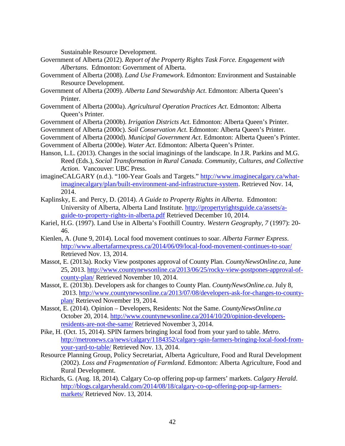Sustainable Resource Development.

- Government of Alberta (2012). *Report of the Property Rights Task Force. Engagement with Albertans*. Edmonton: Government of Alberta.
- Government of Alberta (2008). *Land Use Framework*. Edmonton: Environment and Sustainable Resource Development.
- Government of Alberta (2009). *Alberta Land Stewardship Act*. Edmonton: Alberta Queen's Printer.
- Government of Alberta (2000a). *Agricultural Operation Practices Act*. Edmonton: Alberta Queen's Printer.
- Government of Alberta (2000b). *Irrigation Districts Act*. Edmonton: Alberta Queen's Printer.
- Government of Alberta (2000c). *Soil Conservation Act*. Edmonton: Alberta Queen's Printer.

Government of Alberta (2000d). *Municipal Government Act*. Edmonton: Alberta Queen's Printer.

Government of Alberta (2000e). *Water Act*. Edmonton: Alberta Queen's Printer.

- Hanson, L.L. (2013). Changes in the social imaginings of the landscape. In J.R. Parkins and M.G. Reed (Eds.), *Social Transformation in Rural Canada. Community, Cultures, and Collective Action*. Vancouver: UBC Press.
- imagineCALGARY (n.d.). "100-Year Goals and Targets." [http://www.imaginecalgary.ca/what](http://www.imaginecalgary.ca/what-imaginecalgary/plan/built-environment-and-infrastructure-system)[imaginecalgary/plan/built-environment-and-infrastructure-system.](http://www.imaginecalgary.ca/what-imaginecalgary/plan/built-environment-and-infrastructure-system) Retrieved Nov. 14, 2014.
- Kaplinsky, E. and Percy, D. (2014). *A Guide to Property Rights in Alberta*. Edmonton: University of Alberta, Alberta Land Institute. [http://propertyrightsguide.ca/assets/a](http://propertyrightsguide.ca/assets/a-guide-to-property-rights-in-alberta.pdf)[guide-to-property-rights-in-alberta.pdf](http://propertyrightsguide.ca/assets/a-guide-to-property-rights-in-alberta.pdf) Retrieved December 10, 2014.
- Kariel, H.G. (1997). Land Use in Alberta's Foothill Country. *Western Geography, 7* (1997): 20- 46.
- Kienlen, A. (June 9, 2014). Local food movement continues to soar. *Alberta Farmer Express*. <http://www.albertafarmexpress.ca/2014/06/09/local-food-movement-continues-to-soar/> Retrieved Nov. 13, 2014.
- Massot, E. (2013a). Rocky View postpones approval of County Plan. *CountyNewsOnline.ca*, June 25, 2013. [http://www.countynewsonline.ca/2013/06/25/rocky-view-postpones-approval-of](http://www.countynewsonline.ca/2013/06/25/rocky-view-postpones-approval-of-county-plan/)[county-plan/](http://www.countynewsonline.ca/2013/06/25/rocky-view-postpones-approval-of-county-plan/) Retrieved November 10, 2014.
- Massot, E. (2013b). Developers ask for changes to County Plan. *CountyNewsOnline.ca*. July 8, 2013. [http://www.countynewsonline.ca/2013/07/08/developers-ask-for-changes-to-county](http://www.countynewsonline.ca/2013/07/08/developers-ask-for-changes-to-county-plan/)[plan/](http://www.countynewsonline.ca/2013/07/08/developers-ask-for-changes-to-county-plan/) Retrieved November 19, 2014.
- Massot, E. (2014). Opinion Developers, Residents: Not the Same. *CountyNewsOnline.ca* October 20, 2014. [http://www.countynewsonline.ca/2014/10/20/opinion-developers](http://www.countynewsonline.ca/2014/10/20/opinion-developers-residents-are-not-the-same/)[residents-are-not-the-same/](http://www.countynewsonline.ca/2014/10/20/opinion-developers-residents-are-not-the-same/) Retrieved November 3, 2014.
- Pike, H. (Oct. 15, 2014). SPIN farmers bringing local food from your yard to table. *Metro*. [http://metronews.ca/news/calgary/1184352/calgary-spin-farmers-bringing-local-food-from](http://metronews.ca/news/calgary/1184352/calgary-spin-farmers-bringing-local-food-from-your-yard-to-table/)[your-yard-to-table/](http://metronews.ca/news/calgary/1184352/calgary-spin-farmers-bringing-local-food-from-your-yard-to-table/) Retrieved Nov. 13, 2014.
- Resource Planning Group, Policy Secretariat, Alberta Agriculture, Food and Rural Development (2002). *Loss and Fragmentation of Farmland*. Edmonton: Alberta Agriculture, Food and Rural Development.
- Richards, G. (Aug. 18, 2014). Calgary Co-op offering pop-up farmers' markets. *Calgary Herald*. [http://blogs.calgaryherald.com/2014/08/18/calgary-co-op-offering-pop-up-farmers](http://blogs.calgaryherald.com/2014/08/18/calgary-co-op-offering-pop-up-farmers-%20%09markets/)[markets/](http://blogs.calgaryherald.com/2014/08/18/calgary-co-op-offering-pop-up-farmers-%20%09markets/) Retrieved Nov. 13, 2014.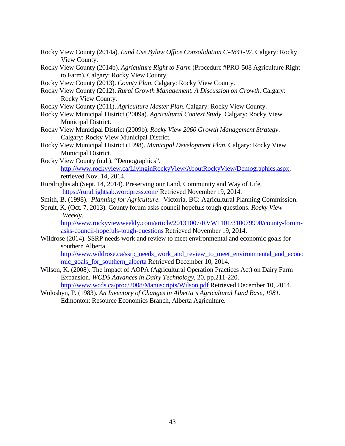- Rocky View County (2014a). *Land Use Bylaw Office Consolidation C-4841-97*. Calgary: Rocky View County.
- Rocky View County (2014b). *Agriculture Right to Farm* (Procedure #PRO-508 Agriculture Right to Farm). Calgary: Rocky View County.
- Rocky View County (2013). *County Plan*. Calgary: Rocky View County.
- Rocky View County (2012). *Rural Growth Management. A Discussion on Growth*. Calgary: Rocky View County.
- Rocky View County (2011). *Agriculture Master Plan*. Calgary: Rocky View County.
- Rocky View Municipal District (2009a). *Agricultural Context Study*. Calgary: Rocky View Municipal District.
- Rocky View Municipal District (2009b). *Rocky View 2060 Growth Management Strategy*. Calgary: Rocky View Municipal District.
- Rocky View Municipal District (1998). *Municipal Development Plan*. Calgary: Rocky View Municipal District.
- Rocky View County (n.d.). "Demographics". [http://www.rockyview.ca/LivinginRockyView/AboutRockyView/Demographics.aspx,](http://www.rockyview.ca/LivinginRockyView/AboutRockyView/Demographics.aspx) retrieved Nov. 14, 2014.
- Ruralrights.ab (Sept. 14, 2014). Preserving our Land, Community and Way of Life. <https://ruralrightsab.wordpress.com/> Retrieved November 19, 2014.
- Smith, B. (1998). *Planning for Agriculture.* Victoria, BC: Agricultural Planning Commission.
- Spruit, K. (Oct. 7, 2013). County forum asks council hopefuls tough questions. *Rocky View Weekly*.

[http://www.rockyviewweekly.com/article/20131007/RVW1101/310079990/county-forum](http://www.rockyviewweekly.com/article/20131007/RVW1101/310079990/county-forum-asks-council-hopefuls-tough-questions)[asks-council-hopefuls-tough-questions](http://www.rockyviewweekly.com/article/20131007/RVW1101/310079990/county-forum-asks-council-hopefuls-tough-questions) Retrieved November 19, 2014.

Wildrose (2014). SSRP needs work and review to meet environmental and economic goals for southern Alberta. [http://www.wildrose.ca/ssrp\\_needs\\_work\\_and\\_review\\_to\\_meet\\_environmental\\_and\\_econo](http://www.wildrose.ca/ssrp_needs_work_and_review_to_meet_environmental_and_economic_goals_for_southern_alberta)

[mic\\_goals\\_for\\_southern\\_alberta](http://www.wildrose.ca/ssrp_needs_work_and_review_to_meet_environmental_and_economic_goals_for_southern_alberta) Retrieved December 10, 2014.

Wilson, K. (2008). The impact of AOPA (Agricultural Operation Practices Act) on Dairy Farm Expansion. *WCDS Advances in Dairy Technology*, 20, pp.211-220. <http://www.wcds.ca/proc/2008/Manuscripts/Wilson.pdf> Retrieved December 10, 2014.

Woloshyn, P. (1983). *An Inventory of Changes in Alberta's Agricultural Land Base, 1981*. Edmonton: Resource Economics Branch, Alberta Agriculture.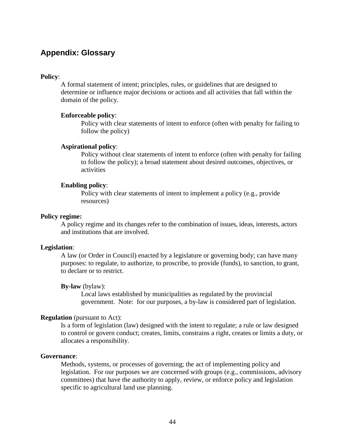## **Appendix: Glossary**

## **Policy**:

A formal statement of intent; principles, rules, or guidelines that are designed to determine or influence major decisions or actions and all activities that fall within the domain of the policy.

## **Enforceable policy**:

Policy with clear statements of intent to enforce (often with penalty for failing to follow the policy)

## **Aspirational policy**:

Policy without clear statements of intent to enforce (often with penalty for failing to follow the policy); a broad statement about desired outcomes, objectives, or activities

## **Enabling policy**:

Policy with clear statements of intent to implement a policy (e.g., provide resources)

## **Policy regime:**

A policy regime and its changes refer to the combination of issues, ideas, interests, actors and institutions that are involved.

### **Legislation**:

A law (or Order in Council) enacted by a legislature or governing body; can have many purposes: to regulate, to authorize, to proscribe, to provide (funds), to sanction, to grant, to declare or to restrict.

## **By-law** (bylaw):

Local laws established by municipalities as regulated by the provincial government. Note: for our purposes, a by-law is considered part of legislation.

## **Regulation** (pursuant to Act):

Is a form of legislation (law) designed with the intent to regulate; a rule or law designed to control or govern conduct; creates, limits, constrains a right, creates or limits a duty, or allocates a responsibility.

## **Governance**:

Methods, systems, or processes of governing; the act of implementing policy and legislation. For our purposes we are concerned with groups (e.g., commissions, advisory committees) that have the authority to apply, review, or enforce policy and legislation specific to agricultural land use planning.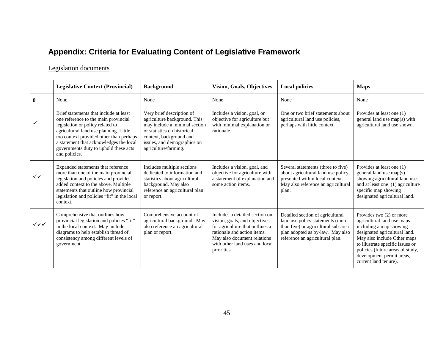## **Appendix: Criteria for Evaluating Content of Legislative Framework**

## Legislation documents

|                        | <b>Legislative Context (Provincial)</b>                                                                                                                                                                                                                                                                      | <b>Background</b>                                                                                                                                                                                           | <b>Vision, Goals, Objectives</b>                                                                                                                                                                                  | <b>Local policies</b>                                                                                                                                                              | <b>Maps</b>                                                                                                                                                                                                                                                                     |
|------------------------|--------------------------------------------------------------------------------------------------------------------------------------------------------------------------------------------------------------------------------------------------------------------------------------------------------------|-------------------------------------------------------------------------------------------------------------------------------------------------------------------------------------------------------------|-------------------------------------------------------------------------------------------------------------------------------------------------------------------------------------------------------------------|------------------------------------------------------------------------------------------------------------------------------------------------------------------------------------|---------------------------------------------------------------------------------------------------------------------------------------------------------------------------------------------------------------------------------------------------------------------------------|
| $\mathbf{0}$           | None                                                                                                                                                                                                                                                                                                         | None                                                                                                                                                                                                        | None                                                                                                                                                                                                              | None                                                                                                                                                                               | None                                                                                                                                                                                                                                                                            |
| ✓                      | Brief statements that include at least<br>one reference to the main provincial<br>legislation or policy related to<br>agricultural land use planning. Little<br>too context provided other than perhaps<br>a statement that acknowledges the local<br>governments duty to uphold these acts<br>and policies. | Very brief description of<br>agriculture background. This<br>may include a minimal section<br>or statistics on historical<br>context, background and<br>issues, and demographics on<br>agriculture/farming. | Includes a vision, goal, or<br>objective for agriculture but<br>with minimal explanation or<br>rationale.                                                                                                         | One or two brief statements about<br>agricultural land use policies,<br>perhaps with little context.                                                                               | Provides at least one (1)<br>general land use map(s) with<br>agricultural land use shown.                                                                                                                                                                                       |
| $\checkmark$           | Expanded statements that reference<br>more than one of the main provincial<br>legislation and policies and provides<br>added context to the above. Multiple<br>statements that outline how provincial<br>legislation and policies "fit" in the local<br>context.                                             | Includes multiple sections<br>dedicated to information and<br>statistics about agricultural<br>background. May also<br>reference an agricultural plan<br>or report.                                         | Includes a vision, goal, and<br>objective for agriculture with<br>a statement of explanation and<br>some action items.                                                                                            | Several statements (three to five)<br>about agricultural land use policy<br>presented within local context.<br>May also reference an agricultural<br>plan.                         | Provides at least one (1)<br>general land use map(s)<br>showing agricultural land uses<br>and at least one (1) agriculture<br>specific map showing<br>designated agricultural land.                                                                                             |
| $\checkmark\checkmark$ | Comprehensive that outlines how<br>provincial legislation and policies "fit"<br>in the local context May include<br>diagrams to help establish thread of<br>consistency among different levels of<br>government.                                                                                             | Comprehensive account of<br>agricultural background. May<br>also reference an agricultural<br>plan or report.                                                                                               | Includes a detailed section on<br>vision, goals, and objectives<br>for agriculture that outlines a<br>rationale and action items.<br>May also document relations<br>with other land uses and local<br>priorities. | Detailed section of agricultural<br>land use policy statements (more<br>than five) or agricultural sub-area<br>plan adopted as by-law. May also<br>reference an agricultural plan. | Provides two (2) or more<br>agricultural land use maps<br>including a map showing<br>designated agricultural land.<br>May also include Other maps<br>to illustrate specific issues or<br>policies (future areas of study,<br>development permit areas,<br>current land tenure). |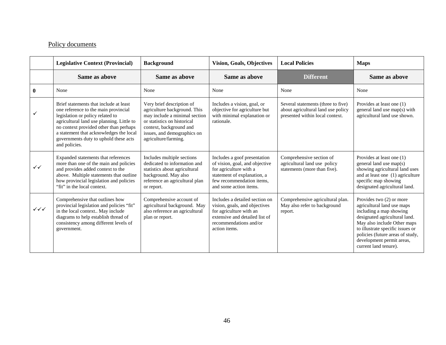## Policy documents

|                                  | <b>Legislative Context (Provincial)</b>                                                                                                                                                                                                                                                                        | <b>Background</b>                                                                                                                                                                                           | <b>Vision, Goals, Objectives</b>                                                                                                                                               | <b>Local Policies</b>                                                                                       | <b>Maps</b>                                                                                                                                                                                                                                                                     |
|----------------------------------|----------------------------------------------------------------------------------------------------------------------------------------------------------------------------------------------------------------------------------------------------------------------------------------------------------------|-------------------------------------------------------------------------------------------------------------------------------------------------------------------------------------------------------------|--------------------------------------------------------------------------------------------------------------------------------------------------------------------------------|-------------------------------------------------------------------------------------------------------------|---------------------------------------------------------------------------------------------------------------------------------------------------------------------------------------------------------------------------------------------------------------------------------|
|                                  | Same as above                                                                                                                                                                                                                                                                                                  | Same as above                                                                                                                                                                                               | Same as above                                                                                                                                                                  | <b>Different</b>                                                                                            | Same as above                                                                                                                                                                                                                                                                   |
| $\bf{0}$                         | None                                                                                                                                                                                                                                                                                                           | None                                                                                                                                                                                                        | None                                                                                                                                                                           | None                                                                                                        | None                                                                                                                                                                                                                                                                            |
| ✓                                | Brief statements that include at least<br>one reference to the main provincial<br>legislation or policy related to<br>agricultural land use planning. Little to<br>no context provided other than perhaps<br>a statement that acknowledges the local<br>governments duty to uphold these acts<br>and policies. | Very brief description of<br>agriculture background. This<br>may include a minimal section<br>or statistics on historical<br>context, background and<br>issues, and demographics on<br>agriculture/farming. | Includes a vision, goal, or<br>objective for agriculture but<br>with minimal explanation or<br>rationale.                                                                      | Several statements (three to five)<br>about agricultural land use policy<br>presented within local context. | Provides at least one (1)<br>general land use map(s) with<br>agricultural land use shown.                                                                                                                                                                                       |
| $\checkmark$                     | Expanded statements that references<br>more than one of the main and policies<br>and provides added context to the<br>above. Multiple statements that outline<br>how provincial legislation and policies<br>"fit" in the local context.                                                                        | Includes multiple sections<br>dedicated to information and<br>statistics about agricultural<br>background. May also<br>reference an agricultural plan<br>or report.                                         | Includes a goof presentation<br>of vision, goal, and objective<br>for agriculture with a<br>statement of explanation, a<br>few recommendation items.<br>and some action items. | Comprehensive section of<br>agricultural land use policy<br>statements (more than five).                    | Provides at least one (1)<br>general land use map(s)<br>showing agricultural land uses<br>and at least one (1) agriculture<br>specific map showing<br>designated agricultural land.                                                                                             |
| $\checkmark\checkmark\checkmark$ | Comprehensive that outlines how<br>provincial legislation and policies "fit"<br>in the local context May include<br>diagrams to help establish thread of<br>consistency among different levels of<br>government.                                                                                               | Comprehensive account of<br>agricultural background. May<br>also reference an agricultural<br>plan or report.                                                                                               | Includes a detailed section on<br>vision, goals, and objectives<br>for agriculture with an<br>extensive and detailed list of<br>recommendations and/or<br>action items.        | Comprehensive agricultural plan.<br>May also refer to background<br>report.                                 | Provides two (2) or more<br>agricultural land use maps<br>including a map showing<br>designated agricultural land.<br>May also include Other maps<br>to illustrate specific issues or<br>policies (future areas of study,<br>development permit areas,<br>current land tenure). |